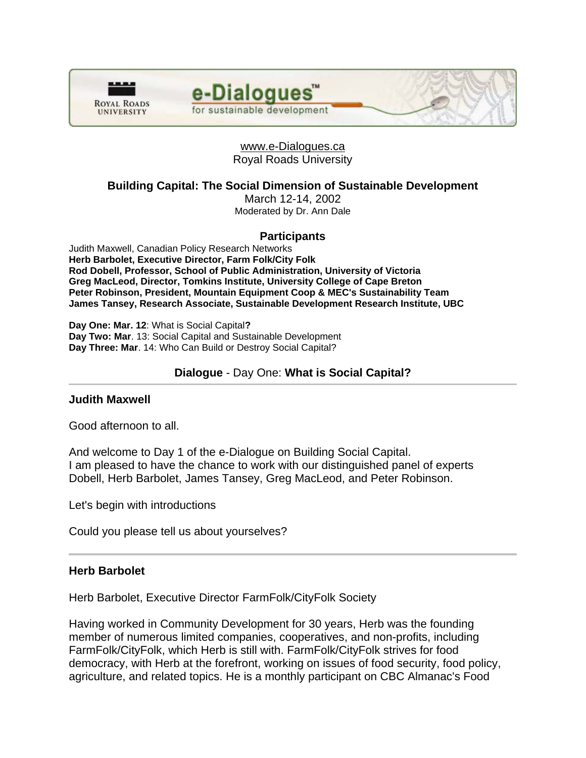



e-Dialogues

for sustainable development

**Building Capital: The Social Dimension of Sustainable Development** 

March 12-14, 2002 Moderated by Dr. Ann Dale

# **Participants**

Judith Maxwell, Canadian Policy Research Networks **Herb Barbolet, Executive Director, Farm Folk/City Folk Rod Dobell, Professor, School of Public Administration, University of Victoria Greg MacLeod, Director, Tomkins Institute, University College of Cape Breton Peter Robinson, President, Mountain Equipment Coop & MEC's Sustainability Team James Tansey, Research Associate, Sustainable Development Research Institute, UBC** 

**Day One: Mar. 12**: What is Social Capital**? Day Two: Mar**. 13: Social Capital and Sustainable Development **Day Three: Mar**. 14: Who Can Build or Destroy Social Capital?

# **Dialogue** - Day One: **What is Social Capital?**

#### **Judith Maxwell**

Good afternoon to all.

And welcome to Day 1 of the e-Dialogue on Building Social Capital. I am pleased to have the chance to work with our distinguished panel of experts Dobell, Herb Barbolet, James Tansey, Greg MacLeod, and Peter Robinson.

Let's begin with introductions

Could you please tell us about yourselves?

# **Herb Barbolet**

Herb Barbolet, Executive Director FarmFolk/CityFolk Society

Having worked in Community Development for 30 years, Herb was the founding member of numerous limited companies, cooperatives, and non-profits, including FarmFolk/CityFolk, which Herb is still with. FarmFolk/CityFolk strives for food democracy, with Herb at the forefront, working on issues of food security, food policy, agriculture, and related topics. He is a monthly participant on CBC Almanac's Food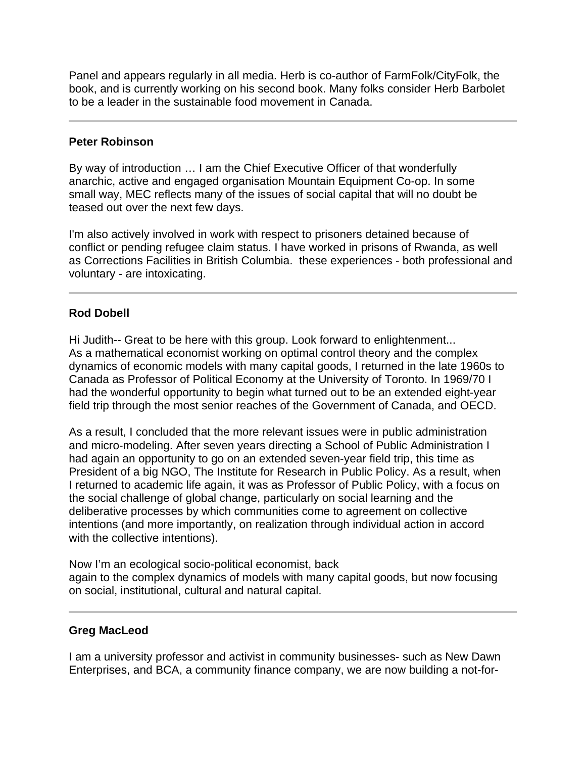Panel and appears regularly in all media. Herb is co-author of FarmFolk/CityFolk, the book, and is currently working on his second book. Many folks consider Herb Barbolet to be a leader in the sustainable food movement in Canada.

# **Peter Robinson**

l

By way of introduction … I am the Chief Executive Officer of that wonderfully anarchic, active and engaged organisation Mountain Equipment Co-op. In some small way, MEC reflects many of the issues of social capital that will no doubt be teased out over the next few days.

I'm also actively involved in work with respect to prisoners detained because of conflict or pending refugee claim status. I have worked in prisons of Rwanda, as well as Corrections Facilities in British Columbia. these experiences - both professional and voluntary - are intoxicating.

# **Rod Dobell**

Hi Judith-- Great to be here with this group. Look forward to enlightenment... As a mathematical economist working on optimal control theory and the complex dynamics of economic models with many capital goods, I returned in the late 1960s to Canada as Professor of Political Economy at the University of Toronto. In 1969/70 I had the wonderful opportunity to begin what turned out to be an extended eight-year field trip through the most senior reaches of the Government of Canada, and OECD.

As a result, I concluded that the more relevant issues were in public administration and micro-modeling. After seven years directing a School of Public Administration I had again an opportunity to go on an extended seven-year field trip, this time as President of a big NGO, The Institute for Research in Public Policy. As a result, when I returned to academic life again, it was as Professor of Public Policy, with a focus on the social challenge of global change, particularly on social learning and the deliberative processes by which communities come to agreement on collective intentions (and more importantly, on realization through individual action in accord with the collective intentions).

Now I'm an ecological socio-political economist, back again to the complex dynamics of models with many capital goods, but now focusing on social, institutional, cultural and natural capital.

# **Greg MacLeod**

Ī

I am a university professor and activist in community businesses- such as New Dawn Enterprises, and BCA, a community finance company, we are now building a not-for-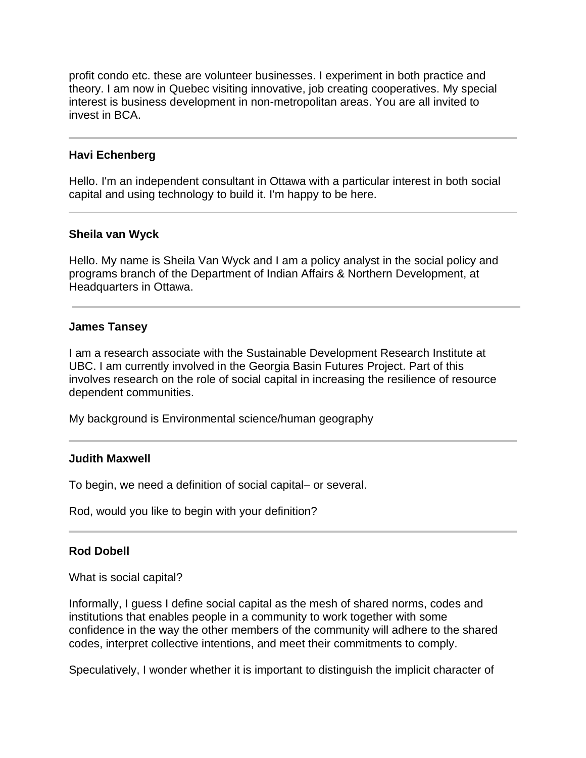profit condo etc. these are volunteer businesses. I experiment in both practice and theory. I am now in Quebec visiting innovative, job creating cooperatives. My special interest is business development in non-metropolitan areas. You are all invited to invest in BCA.

# **Havi Echenberg**

Hello. I'm an independent consultant in Ottawa with a particular interest in both social capital and using technology to build it. I'm happy to be here.

#### **Sheila van Wyck**

Hello. My name is Sheila Van Wyck and I am a policy analyst in the social policy and programs branch of the Department of Indian Affairs & Northern Development, at Headquarters in Ottawa.

#### **James Tansey**

I am a research associate with the Sustainable Development Research Institute at UBC. I am currently involved in the Georgia Basin Futures Project. Part of this involves research on the role of social capital in increasing the resilience of resource dependent communities.

My background is Environmental science/human geography

#### **Judith Maxwell**

Ĩ

To begin, we need a definition of social capital– or several.

Rod, would you like to begin with your definition?

#### **Rod Dobell**

What is social capital?

Informally, I guess I define social capital as the mesh of shared norms, codes and institutions that enables people in a community to work together with some confidence in the way the other members of the community will adhere to the shared codes, interpret collective intentions, and meet their commitments to comply.

Speculatively, I wonder whether it is important to distinguish the implicit character of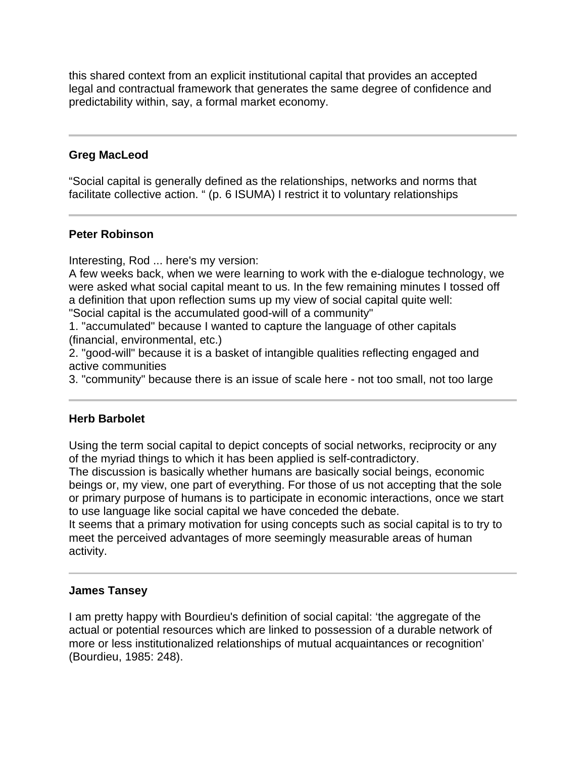this shared context from an explicit institutional capital that provides an accepted legal and contractual framework that generates the same degree of confidence and predictability within, say, a formal market economy.

# **Greg MacLeod**

"Social capital is generally defined as the relationships, networks and norms that facilitate collective action. " (p. 6 ISUMA) I restrict it to voluntary relationships

# **Peter Robinson**

Interesting, Rod ... here's my version:

A few weeks back, when we were learning to work with the e-dialogue technology, we were asked what social capital meant to us. In the few remaining minutes I tossed off a definition that upon reflection sums up my view of social capital quite well: "Social capital is the accumulated good-will of a community"

1. "accumulated" because I wanted to capture the language of other capitals (financial, environmental, etc.)

2. "good-will" because it is a basket of intangible qualities reflecting engaged and active communities

3. "community" because there is an issue of scale here - not too small, not too large

# **Herb Barbolet**

Using the term social capital to depict concepts of social networks, reciprocity or any of the myriad things to which it has been applied is self-contradictory.

The discussion is basically whether humans are basically social beings, economic beings or, my view, one part of everything. For those of us not accepting that the sole or primary purpose of humans is to participate in economic interactions, once we start to use language like social capital we have conceded the debate.

It seems that a primary motivation for using concepts such as social capital is to try to meet the perceived advantages of more seemingly measurable areas of human activity.

#### **James Tansey**

I am pretty happy with Bourdieu's definition of social capital: 'the aggregate of the actual or potential resources which are linked to possession of a durable network of more or less institutionalized relationships of mutual acquaintances or recognition' (Bourdieu, 1985: 248).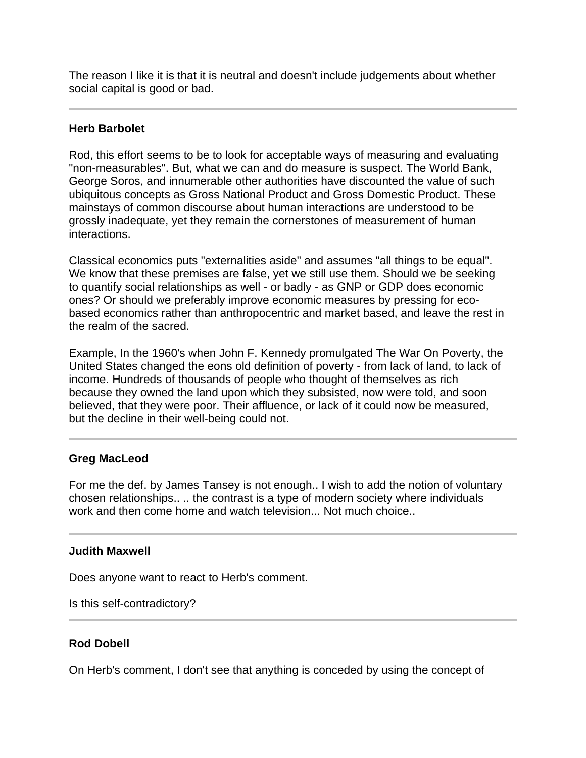The reason I like it is that it is neutral and doesn't include judgements about whether social capital is good or bad.

# **Herb Barbolet**

Rod, this effort seems to be to look for acceptable ways of measuring and evaluating "non-measurables". But, what we can and do measure is suspect. The World Bank, George Soros, and innumerable other authorities have discounted the value of such ubiquitous concepts as Gross National Product and Gross Domestic Product. These mainstays of common discourse about human interactions are understood to be grossly inadequate, yet they remain the cornerstones of measurement of human interactions.

Classical economics puts "externalities aside" and assumes "all things to be equal". We know that these premises are false, yet we still use them. Should we be seeking to quantify social relationships as well - or badly - as GNP or GDP does economic ones? Or should we preferably improve economic measures by pressing for ecobased economics rather than anthropocentric and market based, and leave the rest in the realm of the sacred.

Example, In the 1960's when John F. Kennedy promulgated The War On Poverty, the United States changed the eons old definition of poverty - from lack of land, to lack of income. Hundreds of thousands of people who thought of themselves as rich because they owned the land upon which they subsisted, now were told, and soon believed, that they were poor. Their affluence, or lack of it could now be measured, but the decline in their well-being could not.

# **Greg MacLeod**

For me the def. by James Tansey is not enough.. I wish to add the notion of voluntary chosen relationships.. .. the contrast is a type of modern society where individuals work and then come home and watch television... Not much choice..

#### **Judith Maxwell**

Does anyone want to react to Herb's comment.

Is this self-contradictory?

# **Rod Dobell**

l

On Herb's comment, I don't see that anything is conceded by using the concept of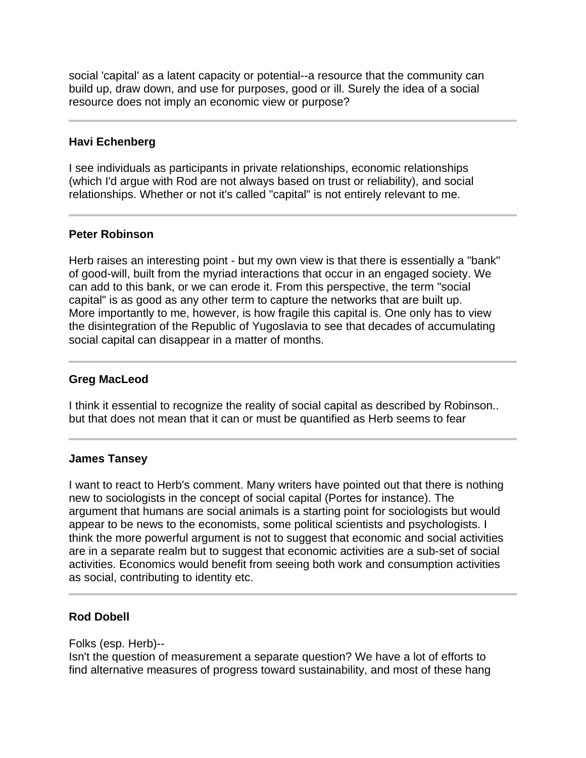social 'capital' as a latent capacity or potential--a resource that the community can build up, draw down, and use for purposes, good or ill. Surely the idea of a social resource does not imply an economic view or purpose?

# **Havi Echenberg**

I see individuals as participants in private relationships, economic relationships (which I'd argue with Rod are not always based on trust or reliability), and social relationships. Whether or not it's called "capital" is not entirely relevant to me.

# **Peter Robinson**

Herb raises an interesting point - but my own view is that there is essentially a "bank" of good-will, built from the myriad interactions that occur in an engaged society. We can add to this bank, or we can erode it. From this perspective, the term "social capital" is as good as any other term to capture the networks that are built up. More importantly to me, however, is how fragile this capital is. One only has to view the disintegration of the Republic of Yugoslavia to see that decades of accumulating social capital can disappear in a matter of months.

#### Ï **Greg MacLeod**

I think it essential to recognize the reality of social capital as described by Robinson.. but that does not mean that it can or must be quantified as Herb seems to fear

# **James Tansey**

I want to react to Herb's comment. Many writers have pointed out that there is nothing new to sociologists in the concept of social capital (Portes for instance). The argument that humans are social animals is a starting point for sociologists but would appear to be news to the economists, some political scientists and psychologists. I think the more powerful argument is not to suggest that economic and social activities are in a separate realm but to suggest that economic activities are a sub-set of social activities. Economics would benefit from seeing both work and consumption activities as social, contributing to identity etc.

# **Rod Dobell**

Folks (esp. Herb)--

Isn't the question of measurement a separate question? We have a lot of efforts to find alternative measures of progress toward sustainability, and most of these hang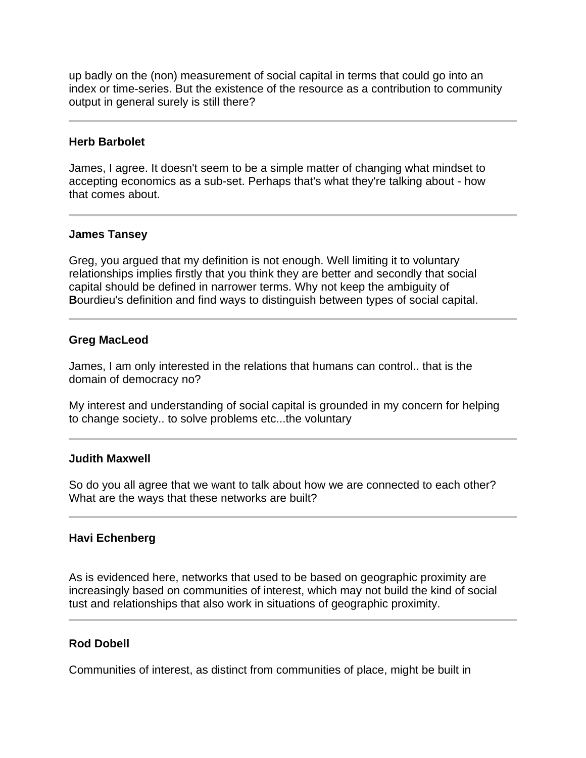up badly on the (non) measurement of social capital in terms that could go into an index or time-series. But the existence of the resource as a contribution to community output in general surely is still there?

#### **Herb Barbolet**

l

Ī

James, I agree. It doesn't seem to be a simple matter of changing what mindset to accepting economics as a sub-set. Perhaps that's what they're talking about - how that comes about.

# **James Tansey**

Greg, you argued that my definition is not enough. Well limiting it to voluntary relationships implies firstly that you think they are better and secondly that social capital should be defined in narrower terms. Why not keep the ambiguity of **B**ourdieu's definition and find ways to distinguish between types of social capital.

# **Greg MacLeod**

James, I am only interested in the relations that humans can control.. that is the domain of democracy no?

My interest and understanding of social capital is grounded in my concern for helping to change society.. to solve problems etc...the voluntary

#### **Judith Maxwell**

So do you all agree that we want to talk about how we are connected to each other? What are the ways that these networks are built?

# **Havi Echenberg**

As is evidenced here, networks that used to be based on geographic proximity are increasingly based on communities of interest, which may not build the kind of social tust and relationships that also work in situations of geographic proximity.

# **Rod Dobell**

Communities of interest, as distinct from communities of place, might be built in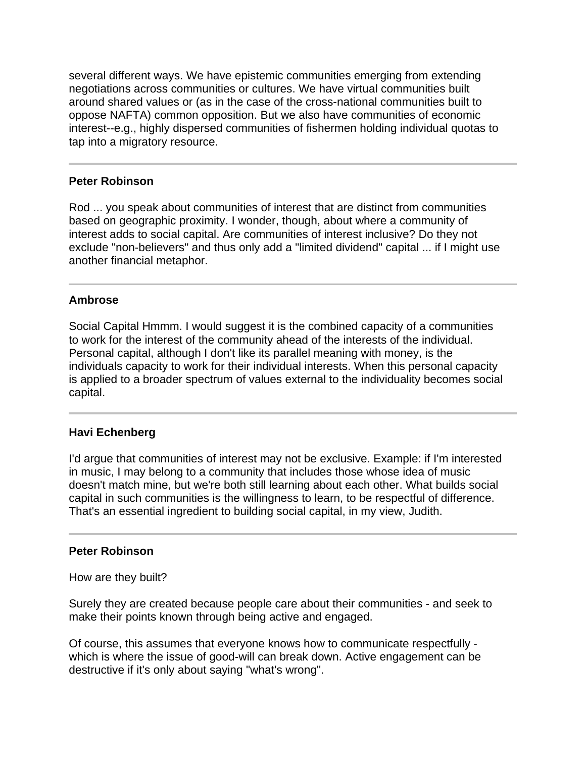several different ways. We have epistemic communities emerging from extending negotiations across communities or cultures. We have virtual communities built around shared values or (as in the case of the cross-national communities built to oppose NAFTA) common opposition. But we also have communities of economic interest--e.g., highly dispersed communities of fishermen holding individual quotas to tap into a migratory resource.

# **Peter Robinson**

Ï

Rod ... you speak about communities of interest that are distinct from communities based on geographic proximity. I wonder, though, about where a community of interest adds to social capital. Are communities of interest inclusive? Do they not exclude "non-believers" and thus only add a "limited dividend" capital ... if I might use another financial metaphor.

#### **Ambrose**

Social Capital Hmmm. I would suggest it is the combined capacity of a communities to work for the interest of the community ahead of the interests of the individual. Personal capital, although I don't like its parallel meaning with money, is the individuals capacity to work for their individual interests. When this personal capacity is applied to a broader spectrum of values external to the individuality becomes social capital.

#### **Havi Echenberg**

I'd argue that communities of interest may not be exclusive. Example: if I'm interested in music, I may belong to a community that includes those whose idea of music doesn't match mine, but we're both still learning about each other. What builds social capital in such communities is the willingness to learn, to be respectful of difference. That's an essential ingredient to building social capital, in my view, Judith.

#### **Peter Robinson**

How are they built?

Surely they are created because people care about their communities - and seek to make their points known through being active and engaged.

Of course, this assumes that everyone knows how to communicate respectfully which is where the issue of good-will can break down. Active engagement can be destructive if it's only about saying "what's wrong".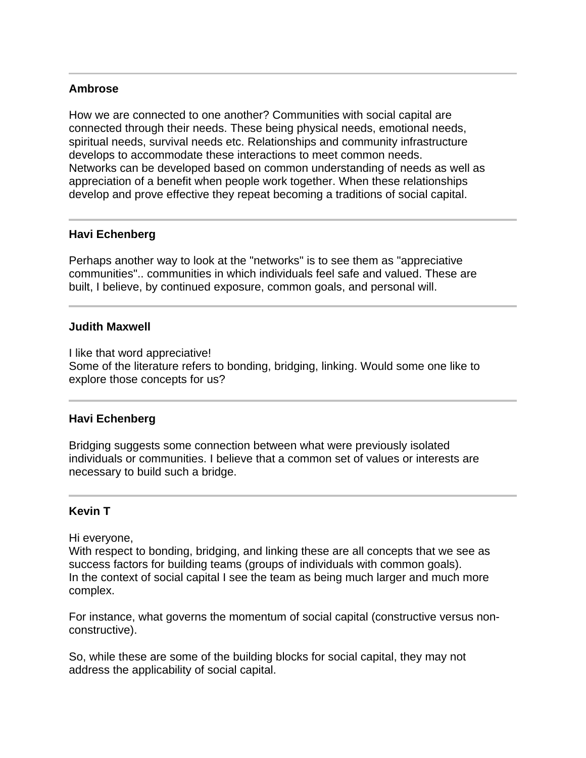# **Ambrose**

j

l

Ī

How we are connected to one another? Communities with social capital are connected through their needs. These being physical needs, emotional needs, spiritual needs, survival needs etc. Relationships and community infrastructure develops to accommodate these interactions to meet common needs. Networks can be developed based on common understanding of needs as well as appreciation of a benefit when people work together. When these relationships develop and prove effective they repeat becoming a traditions of social capital.

# **Havi Echenberg**

Perhaps another way to look at the "networks" is to see them as "appreciative communities".. communities in which individuals feel safe and valued. These are built, I believe, by continued exposure, common goals, and personal will.

# **Judith Maxwell**

I like that word appreciative! Some of the literature refers to bonding, bridging, linking. Would some one like to explore those concepts for us?

# **Havi Echenberg**

Bridging suggests some connection between what were previously isolated individuals or communities. I believe that a common set of values or interests are necessary to build such a bridge.

# **Kevin T**

Hi everyone,

With respect to bonding, bridging, and linking these are all concepts that we see as success factors for building teams (groups of individuals with common goals). In the context of social capital I see the team as being much larger and much more complex.

For instance, what governs the momentum of social capital (constructive versus nonconstructive).

So, while these are some of the building blocks for social capital, they may not address the applicability of social capital.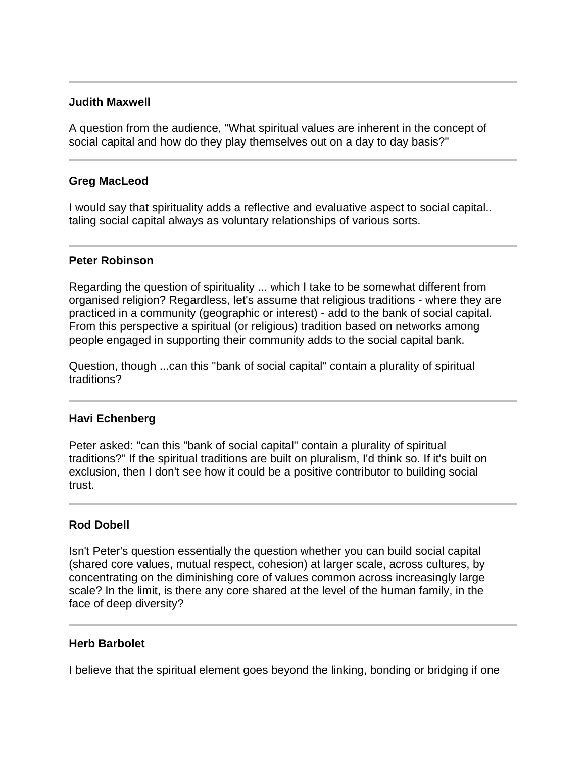### **Judith Maxwell**

A question from the audience, "What spiritual values are inherent in the concept of social capital and how do they play themselves out on a day to day basis?"

# **Greg MacLeod**

I would say that spirituality adds a reflective and evaluative aspect to social capital.. taling social capital always as voluntary relationships of various sorts.

#### **Peter Robinson**

Regarding the question of spirituality ... which I take to be somewhat different from organised religion? Regardless, let's assume that religious traditions - where they are practiced in a community (geographic or interest) - add to the bank of social capital. From this perspective a spiritual (or religious) tradition based on networks among people engaged in supporting their community adds to the social capital bank.

Question, though ...can this "bank of social capital" contain a plurality of spiritual traditions?

#### **Havi Echenberg**

Peter asked: "can this "bank of social capital" contain a plurality of spiritual traditions?" If the spiritual traditions are built on pluralism, I'd think so. If it's built on exclusion, then I don't see how it could be a positive contributor to building social trust.

# **Rod Dobell**

Isn't Peter's question essentially the question whether you can build social capital (shared core values, mutual respect, cohesion) at larger scale, across cultures, by concentrating on the diminishing core of values common across increasingly large scale? In the limit, is there any core shared at the level of the human family, in the face of deep diversity?

#### **Herb Barbolet**

I believe that the spiritual element goes beyond the linking, bonding or bridging if one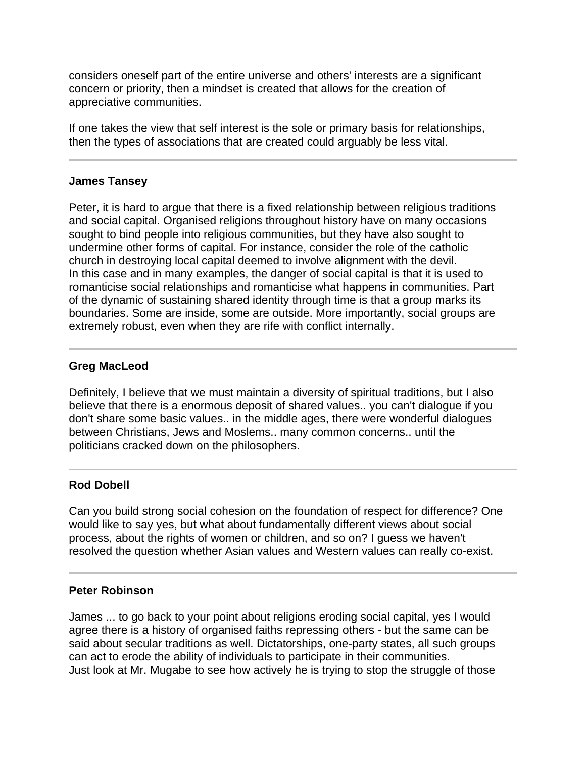considers oneself part of the entire universe and others' interests are a significant concern or priority, then a mindset is created that allows for the creation of appreciative communities.

If one takes the view that self interest is the sole or primary basis for relationships, then the types of associations that are created could arguably be less vital.

# **James Tansey**

Peter, it is hard to argue that there is a fixed relationship between religious traditions and social capital. Organised religions throughout history have on many occasions sought to bind people into religious communities, but they have also sought to undermine other forms of capital. For instance, consider the role of the catholic church in destroying local capital deemed to involve alignment with the devil. In this case and in many examples, the danger of social capital is that it is used to romanticise social relationships and romanticise what happens in communities. Part of the dynamic of sustaining shared identity through time is that a group marks its boundaries. Some are inside, some are outside. More importantly, social groups are extremely robust, even when they are rife with conflict internally.

# **Greg MacLeod**

Definitely, I believe that we must maintain a diversity of spiritual traditions, but I also believe that there is a enormous deposit of shared values.. you can't dialogue if you don't share some basic values.. in the middle ages, there were wonderful dialogues between Christians, Jews and Moslems.. many common concerns.. until the politicians cracked down on the philosophers.

### j **Rod Dobell**

Can you build strong social cohesion on the foundation of respect for difference? One would like to say yes, but what about fundamentally different views about social process, about the rights of women or children, and so on? I guess we haven't resolved the question whether Asian values and Western values can really co-exist.

# **Peter Robinson**

Ĩ

James ... to go back to your point about religions eroding social capital, yes I would agree there is a history of organised faiths repressing others - but the same can be said about secular traditions as well. Dictatorships, one-party states, all such groups can act to erode the ability of individuals to participate in their communities. Just look at Mr. Mugabe to see how actively he is trying to stop the struggle of those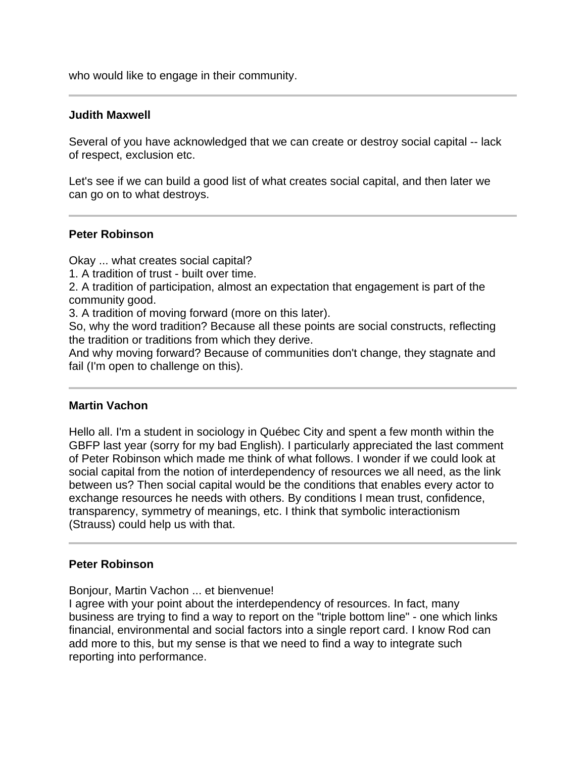who would like to engage in their community.

#### **Judith Maxwell**

Several of you have acknowledged that we can create or destroy social capital -- lack of respect, exclusion etc.

Let's see if we can build a good list of what creates social capital, and then later we can go on to what destroys.

#### **Peter Robinson**

Ī

Ī

Okay ... what creates social capital?

1. A tradition of trust - built over time.

2. A tradition of participation, almost an expectation that engagement is part of the community good.

3. A tradition of moving forward (more on this later).

So, why the word tradition? Because all these points are social constructs, reflecting the tradition or traditions from which they derive.

And why moving forward? Because of communities don't change, they stagnate and fail (I'm open to challenge on this).

#### **Martin Vachon**

Hello all. I'm a student in sociology in Québec City and spent a few month within the GBFP last year (sorry for my bad English). I particularly appreciated the last comment of Peter Robinson which made me think of what follows. I wonder if we could look at social capital from the notion of interdependency of resources we all need, as the link between us? Then social capital would be the conditions that enables every actor to exchange resources he needs with others. By conditions I mean trust, confidence, transparency, symmetry of meanings, etc. I think that symbolic interactionism (Strauss) could help us with that.

#### **Peter Robinson**

Bonjour, Martin Vachon ... et bienvenue!

I agree with your point about the interdependency of resources. In fact, many business are trying to find a way to report on the "triple bottom line" - one which links financial, environmental and social factors into a single report card. I know Rod can add more to this, but my sense is that we need to find a way to integrate such reporting into performance.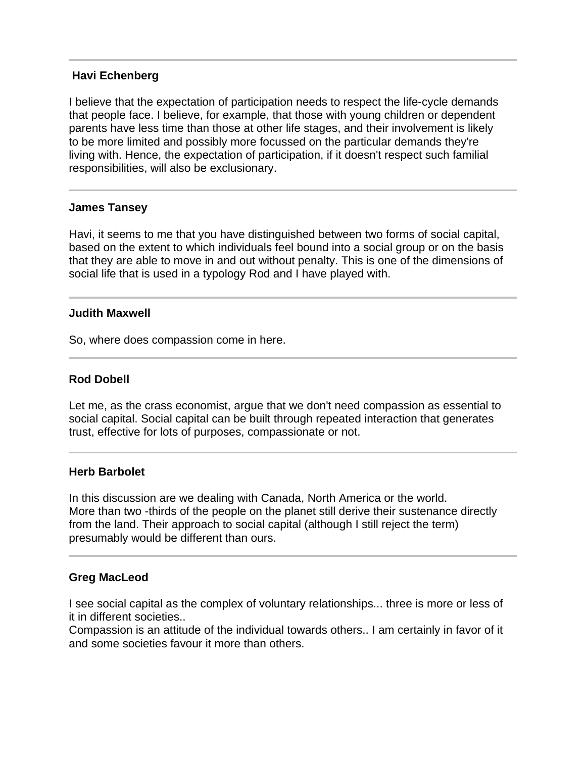# **Havi Echenberg**

I believe that the expectation of participation needs to respect the life-cycle demands that people face. I believe, for example, that those with young children or dependent parents have less time than those at other life stages, and their involvement is likely to be more limited and possibly more focussed on the particular demands they're living with. Hence, the expectation of participation, if it doesn't respect such familial responsibilities, will also be exclusionary.

#### **James Tansey**

Ĩ

I

Havi, it seems to me that you have distinguished between two forms of social capital, based on the extent to which individuals feel bound into a social group or on the basis that they are able to move in and out without penalty. This is one of the dimensions of social life that is used in a typology Rod and I have played with.

#### **Judith Maxwell**

So, where does compassion come in here.

# **Rod Dobell**

Let me, as the crass economist, argue that we don't need compassion as essential to social capital. Social capital can be built through repeated interaction that generates trust, effective for lots of purposes, compassionate or not.

#### **Herb Barbolet**

In this discussion are we dealing with Canada, North America or the world. More than two -thirds of the people on the planet still derive their sustenance directly from the land. Their approach to social capital (although I still reject the term) presumably would be different than ours.

#### **Greg MacLeod**

l

I see social capital as the complex of voluntary relationships... three is more or less of it in different societies..

Compassion is an attitude of the individual towards others.. I am certainly in favor of it and some societies favour it more than others.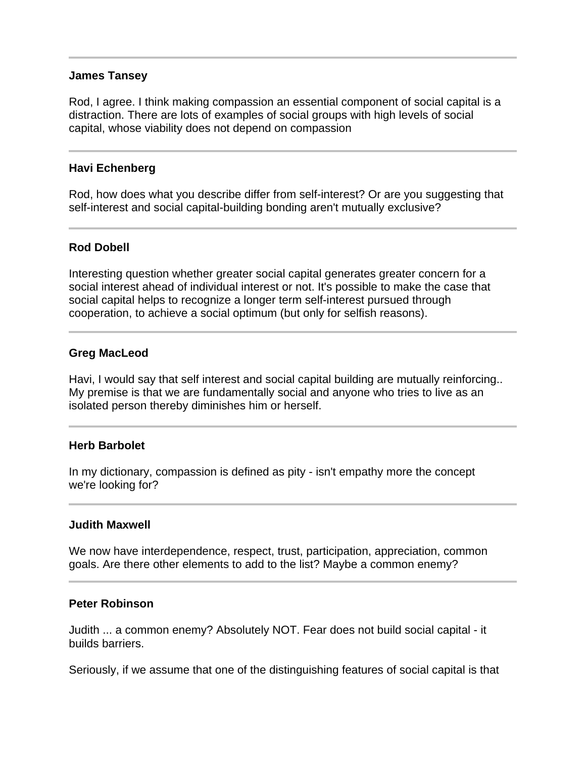#### **James Tansey**

Rod, I agree. I think making compassion an essential component of social capital is a distraction. There are lots of examples of social groups with high levels of social capital, whose viability does not depend on compassion

#### **Havi Echenberg**

Rod, how does what you describe differ from self-interest? Or are you suggesting that self-interest and social capital-building bonding aren't mutually exclusive?

#### **Rod Dobell**

Interesting question whether greater social capital generates greater concern for a social interest ahead of individual interest or not. It's possible to make the case that social capital helps to recognize a longer term self-interest pursued through cooperation, to achieve a social optimum (but only for selfish reasons).

#### **Greg MacLeod**

Havi, I would say that self interest and social capital building are mutually reinforcing.. My premise is that we are fundamentally social and anyone who tries to live as an isolated person thereby diminishes him or herself.

#### **Herb Barbolet**

In my dictionary, compassion is defined as pity - isn't empathy more the concept we're looking for?

#### **Judith Maxwell**

We now have interdependence, respect, trust, participation, appreciation, common goals. Are there other elements to add to the list? Maybe a common enemy?

#### **Peter Robinson**

Judith ... a common enemy? Absolutely NOT. Fear does not build social capital - it builds barriers.

Seriously, if we assume that one of the distinguishing features of social capital is that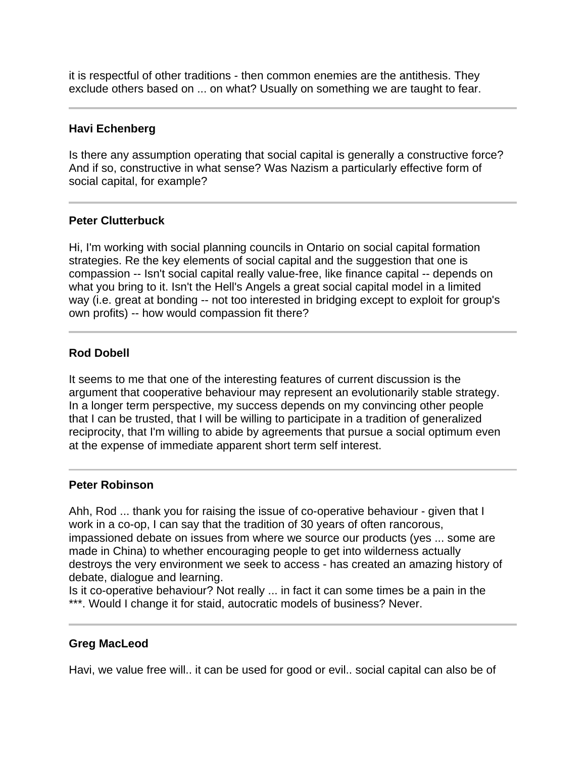it is respectful of other traditions - then common enemies are the antithesis. They exclude others based on ... on what? Usually on something we are taught to fear.

# **Havi Echenberg**

l

Is there any assumption operating that social capital is generally a constructive force? And if so, constructive in what sense? Was Nazism a particularly effective form of social capital, for example?

# **Peter Clutterbuck**

Hi, I'm working with social planning councils in Ontario on social capital formation strategies. Re the key elements of social capital and the suggestion that one is compassion -- Isn't social capital really value-free, like finance capital -- depends on what you bring to it. Isn't the Hell's Angels a great social capital model in a limited way (i.e. great at bonding -- not too interested in bridging except to exploit for group's own profits) -- how would compassion fit there?

# **Rod Dobell**

It seems to me that one of the interesting features of current discussion is the argument that cooperative behaviour may represent an evolutionarily stable strategy. In a longer term perspective, my success depends on my convincing other people that I can be trusted, that I will be willing to participate in a tradition of generalized reciprocity, that I'm willing to abide by agreements that pursue a social optimum even at the expense of immediate apparent short term self interest.

#### **Peter Robinson**

j

Ahh, Rod ... thank you for raising the issue of co-operative behaviour - given that I work in a co-op, I can say that the tradition of 30 years of often rancorous, impassioned debate on issues from where we source our products (yes ... some are made in China) to whether encouraging people to get into wilderness actually destroys the very environment we seek to access - has created an amazing history of debate, dialogue and learning.

Is it co-operative behaviour? Not really ... in fact it can some times be a pain in the \*\*\*. Would I change it for staid, autocratic models of business? Never.

# **Greg MacLeod**

Havi, we value free will.. it can be used for good or evil.. social capital can also be of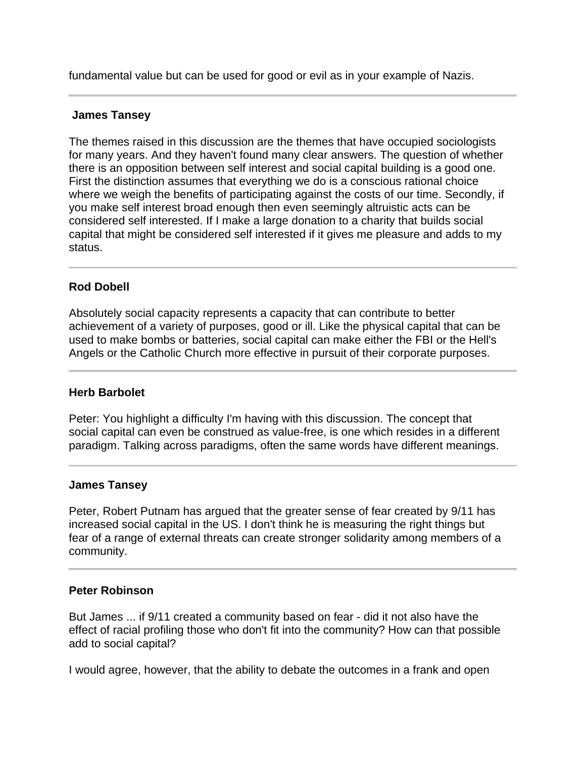fundamental value but can be used for good or evil as in your example of Nazis.

# **James Tansey**

The themes raised in this discussion are the themes that have occupied sociologists for many years. And they haven't found many clear answers. The question of whether there is an opposition between self interest and social capital building is a good one. First the distinction assumes that everything we do is a conscious rational choice where we weigh the benefits of participating against the costs of our time. Secondly, if you make self interest broad enough then even seemingly altruistic acts can be considered self interested. If I make a large donation to a charity that builds social capital that might be considered self interested if it gives me pleasure and adds to my status.

# **Rod Dobell**

Absolutely social capacity represents a capacity that can contribute to better achievement of a variety of purposes, good or ill. Like the physical capital that can be used to make bombs or batteries, social capital can make either the FBI or the Hell's Angels or the Catholic Church more effective in pursuit of their corporate purposes.

#### **Herb Barbolet**

Peter: You highlight a difficulty I'm having with this discussion. The concept that social capital can even be construed as value-free, is one which resides in a different paradigm. Talking across paradigms, often the same words have different meanings.

#### **James Tansey**

Peter, Robert Putnam has argued that the greater sense of fear created by 9/11 has increased social capital in the US. I don't think he is measuring the right things but fear of a range of external threats can create stronger solidarity among members of a community.

# **Peter Robinson**

But James ... if 9/11 created a community based on fear - did it not also have the effect of racial profiling those who don't fit into the community? How can that possible add to social capital?

I would agree, however, that the ability to debate the outcomes in a frank and open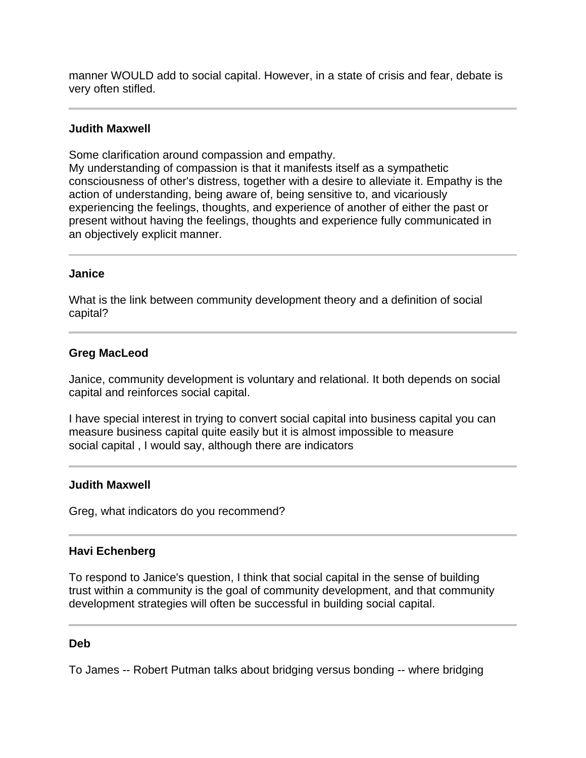manner WOULD add to social capital. However, in a state of crisis and fear, debate is very often stifled.

# **Judith Maxwell**

Some clarification around compassion and empathy.

My understanding of compassion is that it manifests itself as a sympathetic consciousness of other's distress, together with a desire to alleviate it. Empathy is the action of understanding, being aware of, being sensitive to, and vicariously experiencing the feelings, thoughts, and experience of another of either the past or present without having the feelings, thoughts and experience fully communicated in an objectively explicit manner.

#### **Janice**

What is the link between community development theory and a definition of social capital?

#### **Greg MacLeod**

Janice, community development is voluntary and relational. It both depends on social capital and reinforces social capital.

I have special interest in trying to convert social capital into business capital you can measure business capital quite easily but it is almost impossible to measure social capital , I would say, although there are indicators

#### **Judith Maxwell**

Greg, what indicators do you recommend?

#### **Havi Echenberg**

To respond to Janice's question, I think that social capital in the sense of building trust within a community is the goal of community development, and that community development strategies will often be successful in building social capital.

#### **Deb**

To James -- Robert Putman talks about bridging versus bonding -- where bridging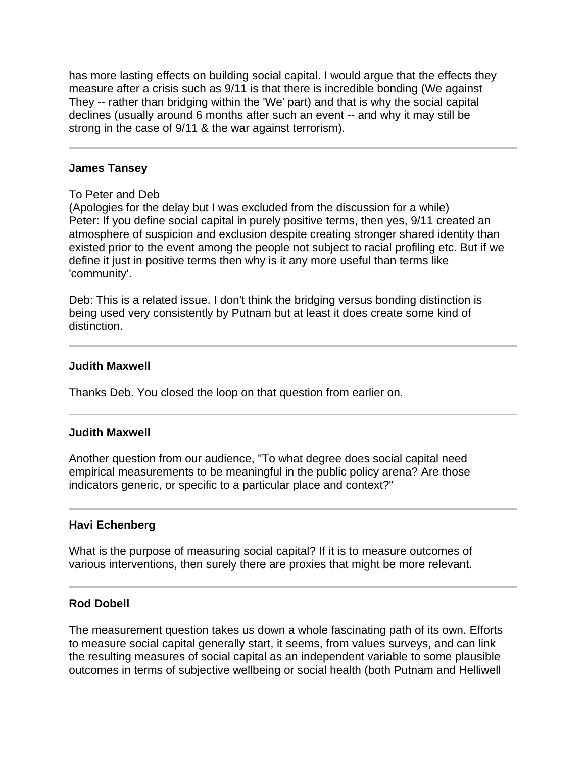has more lasting effects on building social capital. I would argue that the effects they measure after a crisis such as 9/11 is that there is incredible bonding (We against They -- rather than bridging within the 'We' part) and that is why the social capital declines (usually around 6 months after such an event -- and why it may still be strong in the case of 9/11 & the war against terrorism).

#### **James Tansey**

#### To Peter and Deb

(Apologies for the delay but I was excluded from the discussion for a while) Peter: If you define social capital in purely positive terms, then yes, 9/11 created an atmosphere of suspicion and exclusion despite creating stronger shared identity than existed prior to the event among the people not subject to racial profiling etc. But if we define it just in positive terms then why is it any more useful than terms like 'community'.

Deb: This is a related issue. I don't think the bridging versus bonding distinction is being used very consistently by Putnam but at least it does create some kind of distinction.

#### **Judith Maxwell**

 $\overline{a}$ 

j

Thanks Deb. You closed the loop on that question from earlier on.

#### **Judith Maxwell**

Another question from our audience, "To what degree does social capital need empirical measurements to be meaningful in the public policy arena? Are those indicators generic, or specific to a particular place and context?"

#### **Havi Echenberg**

What is the purpose of measuring social capital? If it is to measure outcomes of various interventions, then surely there are proxies that might be more relevant.

#### **Rod Dobell**

The measurement question takes us down a whole fascinating path of its own. Efforts to measure social capital generally start, it seems, from values surveys, and can link the resulting measures of social capital as an independent variable to some plausible outcomes in terms of subjective wellbeing or social health (both Putnam and Helliwell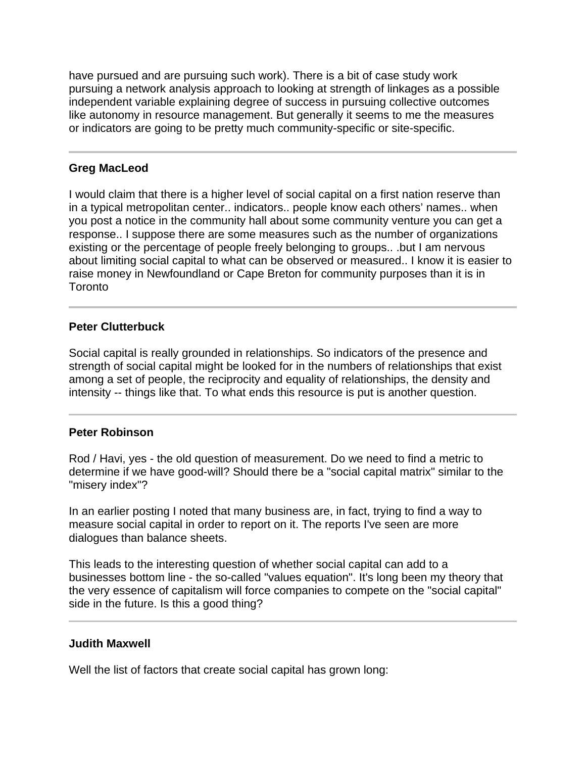have pursued and are pursuing such work). There is a bit of case study work pursuing a network analysis approach to looking at strength of linkages as a possible independent variable explaining degree of success in pursuing collective outcomes like autonomy in resource management. But generally it seems to me the measures or indicators are going to be pretty much community-specific or site-specific.

# **Greg MacLeod**

I

I would claim that there is a higher level of social capital on a first nation reserve than in a typical metropolitan center.. indicators.. people know each others' names.. when you post a notice in the community hall about some community venture you can get a response.. I suppose there are some measures such as the number of organizations existing or the percentage of people freely belonging to groups.. .but I am nervous about limiting social capital to what can be observed or measured.. I know it is easier to raise money in Newfoundland or Cape Breton for community purposes than it is in Toronto

# **Peter Clutterbuck**

Social capital is really grounded in relationships. So indicators of the presence and strength of social capital might be looked for in the numbers of relationships that exist among a set of people, the reciprocity and equality of relationships, the density and intensity -- things like that. To what ends this resource is put is another question.

#### **Peter Robinson**

Rod / Havi, yes - the old question of measurement. Do we need to find a metric to determine if we have good-will? Should there be a "social capital matrix" similar to the "misery index"?

In an earlier posting I noted that many business are, in fact, trying to find a way to measure social capital in order to report on it. The reports I've seen are more dialogues than balance sheets.

This leads to the interesting question of whether social capital can add to a businesses bottom line - the so-called "values equation". It's long been my theory that the very essence of capitalism will force companies to compete on the "social capital" side in the future. Is this a good thing?

# **Judith Maxwell**

Well the list of factors that create social capital has grown long: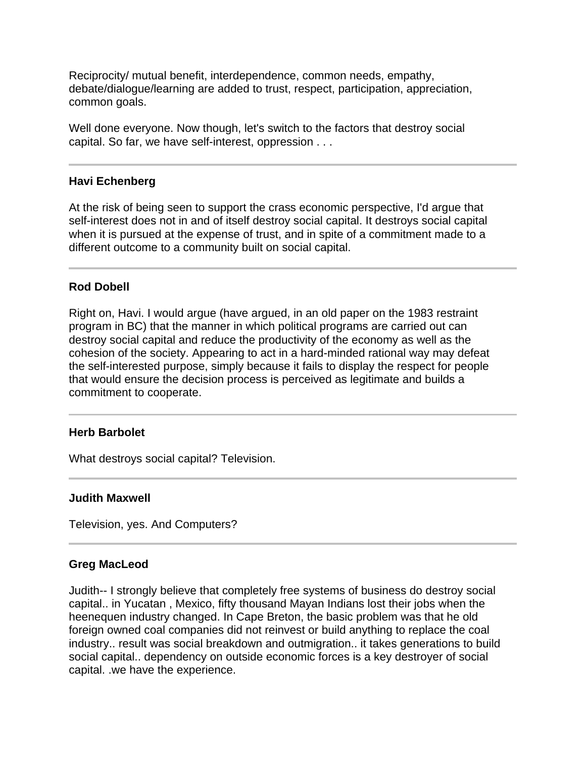Reciprocity/ mutual benefit, interdependence, common needs, empathy, debate/dialogue/learning are added to trust, respect, participation, appreciation, common goals.

Well done everyone. Now though, let's switch to the factors that destroy social capital. So far, we have self-interest, oppression . . .

# **Havi Echenberg**

I

At the risk of being seen to support the crass economic perspective, I'd argue that self-interest does not in and of itself destroy social capital. It destroys social capital when it is pursued at the expense of trust, and in spite of a commitment made to a different outcome to a community built on social capital.

# **Rod Dobell**

Right on, Havi. I would argue (have argued, in an old paper on the 1983 restraint program in BC) that the manner in which political programs are carried out can destroy social capital and reduce the productivity of the economy as well as the cohesion of the society. Appearing to act in a hard-minded rational way may defeat the self-interested purpose, simply because it fails to display the respect for people that would ensure the decision process is perceived as legitimate and builds a commitment to cooperate.

#### **Herb Barbolet**

What destroys social capital? Television.

#### **Judith Maxwell**

Television, yes. And Computers?

#### **Greg MacLeod**

 $\overline{a}$ 

Judith-- I strongly believe that completely free systems of business do destroy social capital.. in Yucatan , Mexico, fifty thousand Mayan Indians lost their jobs when the heenequen industry changed. In Cape Breton, the basic problem was that he old foreign owned coal companies did not reinvest or build anything to replace the coal industry.. result was social breakdown and outmigration.. it takes generations to build social capital.. dependency on outside economic forces is a key destroyer of social capital. .we have the experience.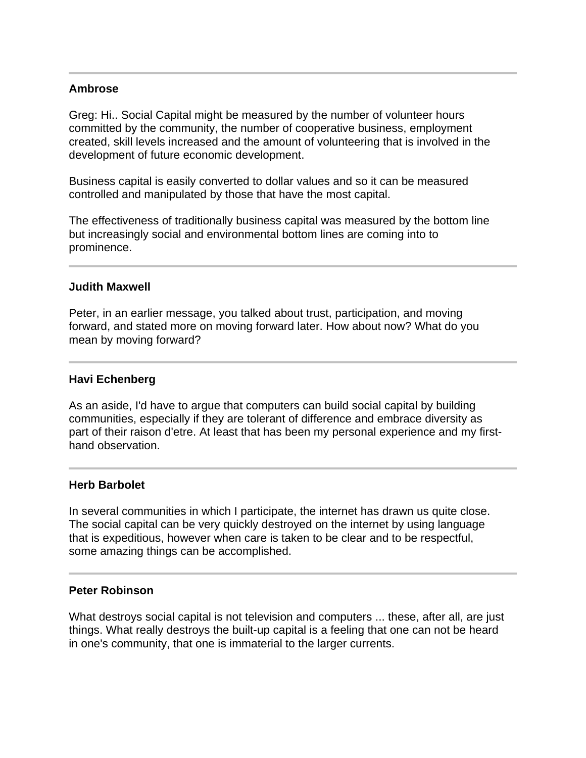# **Ambrose**

j

 $\overline{a}$ 

Ĩ

I

Greg: Hi.. Social Capital might be measured by the number of volunteer hours committed by the community, the number of cooperative business, employment created, skill levels increased and the amount of volunteering that is involved in the development of future economic development.

Business capital is easily converted to dollar values and so it can be measured controlled and manipulated by those that have the most capital.

The effectiveness of traditionally business capital was measured by the bottom line but increasingly social and environmental bottom lines are coming into to prominence.

#### **Judith Maxwell**

Peter, in an earlier message, you talked about trust, participation, and moving forward, and stated more on moving forward later. How about now? What do you mean by moving forward?

#### **Havi Echenberg**

As an aside, I'd have to argue that computers can build social capital by building communities, especially if they are tolerant of difference and embrace diversity as part of their raison d'etre. At least that has been my personal experience and my firsthand observation.

#### **Herb Barbolet**

In several communities in which I participate, the internet has drawn us quite close. The social capital can be very quickly destroyed on the internet by using language that is expeditious, however when care is taken to be clear and to be respectful, some amazing things can be accomplished.

# **Peter Robinson**

What destroys social capital is not television and computers ... these, after all, are just things. What really destroys the built-up capital is a feeling that one can not be heard in one's community, that one is immaterial to the larger currents.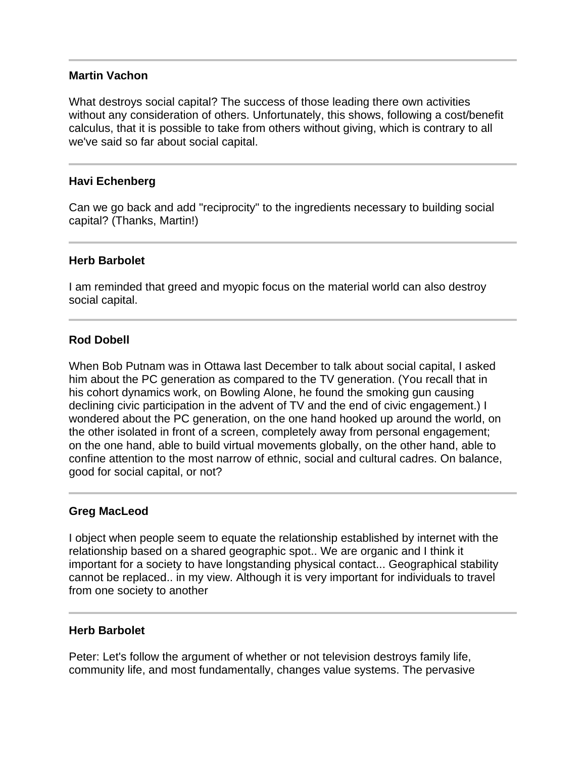#### **Martin Vachon**

What destroys social capital? The success of those leading there own activities without any consideration of others. Unfortunately, this shows, following a cost/benefit calculus, that it is possible to take from others without giving, which is contrary to all we've said so far about social capital.

# **Havi Echenberg**

Ĩ

Ī

Can we go back and add "reciprocity" to the ingredients necessary to building social capital? (Thanks, Martin!)

#### **Herb Barbolet**

I am reminded that greed and myopic focus on the material world can also destroy social capital.

# **Rod Dobell**

When Bob Putnam was in Ottawa last December to talk about social capital, I asked him about the PC generation as compared to the TV generation. (You recall that in his cohort dynamics work, on Bowling Alone, he found the smoking gun causing declining civic participation in the advent of TV and the end of civic engagement.) I wondered about the PC generation, on the one hand hooked up around the world, on the other isolated in front of a screen, completely away from personal engagement; on the one hand, able to build virtual movements globally, on the other hand, able to confine attention to the most narrow of ethnic, social and cultural cadres. On balance, good for social capital, or not?

# **Greg MacLeod**

Ī

I

I object when people seem to equate the relationship established by internet with the relationship based on a shared geographic spot.. We are organic and I think it important for a society to have longstanding physical contact... Geographical stability cannot be replaced.. in my view. Although it is very important for individuals to travel from one society to another

#### **Herb Barbolet**

Peter: Let's follow the argument of whether or not television destroys family life, community life, and most fundamentally, changes value systems. The pervasive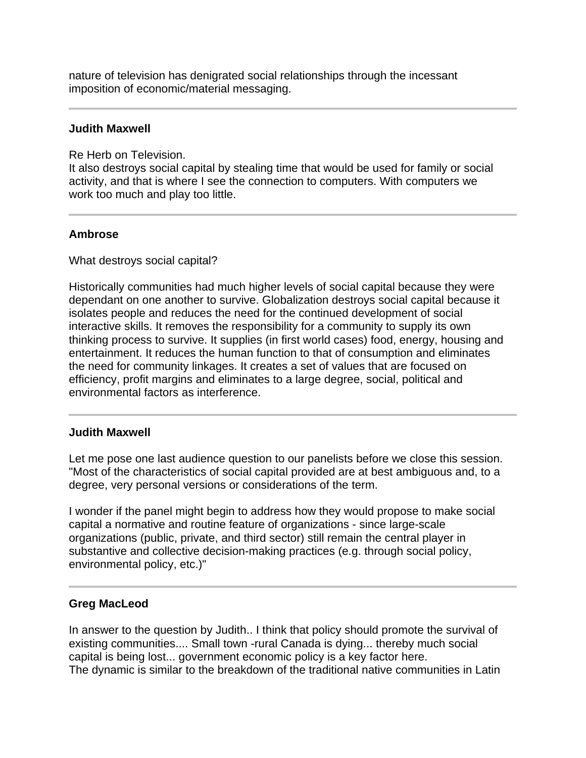nature of television has denigrated social relationships through the incessant imposition of economic/material messaging.

#### **Judith Maxwell**

Re Herb on Television.

It also destroys social capital by stealing time that would be used for family or social activity, and that is where I see the connection to computers. With computers we work too much and play too little.

# **Ambrose**

What destroys social capital?

Historically communities had much higher levels of social capital because they were dependant on one another to survive. Globalization destroys social capital because it isolates people and reduces the need for the continued development of social interactive skills. It removes the responsibility for a community to supply its own thinking process to survive. It supplies (in first world cases) food, energy, housing and entertainment. It reduces the human function to that of consumption and eliminates the need for community linkages. It creates a set of values that are focused on efficiency, profit margins and eliminates to a large degree, social, political and environmental factors as interference.

# **Judith Maxwell**

Let me pose one last audience question to our panelists before we close this session. "Most of the characteristics of social capital provided are at best ambiguous and, to a degree, very personal versions or considerations of the term.

I wonder if the panel might begin to address how they would propose to make social capital a normative and routine feature of organizations - since large-scale organizations (public, private, and third sector) still remain the central player in substantive and collective decision-making practices (e.g. through social policy, environmental policy, etc.)"

# **Greg MacLeod**

I

In answer to the question by Judith.. I think that policy should promote the survival of existing communities.... Small town -rural Canada is dying... thereby much social capital is being lost... government economic policy is a key factor here. The dynamic is similar to the breakdown of the traditional native communities in Latin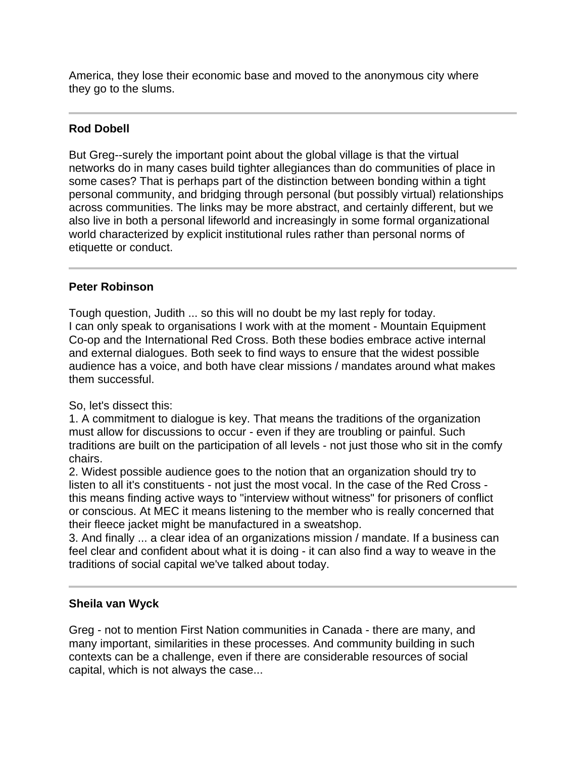America, they lose their economic base and moved to the anonymous city where they go to the slums.

#### j **Rod Dobell**

But Greg--surely the important point about the global village is that the virtual networks do in many cases build tighter allegiances than do communities of place in some cases? That is perhaps part of the distinction between bonding within a tight personal community, and bridging through personal (but possibly virtual) relationships across communities. The links may be more abstract, and certainly different, but we also live in both a personal lifeworld and increasingly in some formal organizational world characterized by explicit institutional rules rather than personal norms of etiquette or conduct.

# **Peter Robinson**

Tough question, Judith ... so this will no doubt be my last reply for today. I can only speak to organisations I work with at the moment - Mountain Equipment Co-op and the International Red Cross. Both these bodies embrace active internal and external dialogues. Both seek to find ways to ensure that the widest possible audience has a voice, and both have clear missions / mandates around what makes them successful.

# So, let's dissect this:

1. A commitment to dialogue is key. That means the traditions of the organization must allow for discussions to occur - even if they are troubling or painful. Such traditions are built on the participation of all levels - not just those who sit in the comfy chairs.

2. Widest possible audience goes to the notion that an organization should try to listen to all it's constituents - not just the most vocal. In the case of the Red Cross this means finding active ways to "interview without witness" for prisoners of conflict or conscious. At MEC it means listening to the member who is really concerned that their fleece jacket might be manufactured in a sweatshop.

3. And finally ... a clear idea of an organizations mission / mandate. If a business can feel clear and confident about what it is doing - it can also find a way to weave in the traditions of social capital we've talked about today.

# **Sheila van Wyck**

Greg - not to mention First Nation communities in Canada - there are many, and many important, similarities in these processes. And community building in such contexts can be a challenge, even if there are considerable resources of social capital, which is not always the case...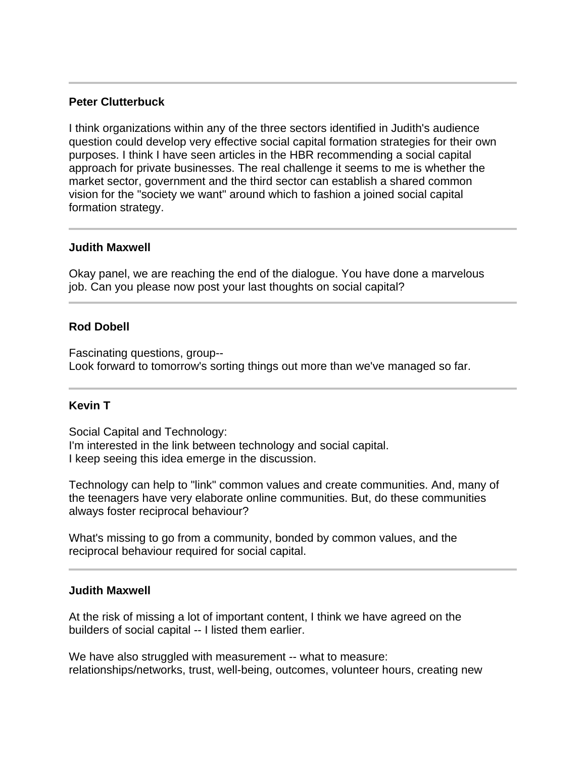# **Peter Clutterbuck**

I think organizations within any of the three sectors identified in Judith's audience question could develop very effective social capital formation strategies for their own purposes. I think I have seen articles in the HBR recommending a social capital approach for private businesses. The real challenge it seems to me is whether the market sector, government and the third sector can establish a shared common vision for the "society we want" around which to fashion a joined social capital formation strategy.

#### **Judith Maxwell**

Ī

Okay panel, we are reaching the end of the dialogue. You have done a marvelous job. Can you please now post your last thoughts on social capital?

# **Rod Dobell**

Fascinating questions, group-- Look forward to tomorrow's sorting things out more than we've managed so far.

#### **Kevin T**

I

Social Capital and Technology: I'm interested in the link between technology and social capital. I keep seeing this idea emerge in the discussion.

Technology can help to "link" common values and create communities. And, many of the teenagers have very elaborate online communities. But, do these communities always foster reciprocal behaviour?

What's missing to go from a community, bonded by common values, and the reciprocal behaviour required for social capital.

# **Judith Maxwell**

At the risk of missing a lot of important content, I think we have agreed on the builders of social capital -- I listed them earlier.

We have also struggled with measurement -- what to measure: relationships/networks, trust, well-being, outcomes, volunteer hours, creating new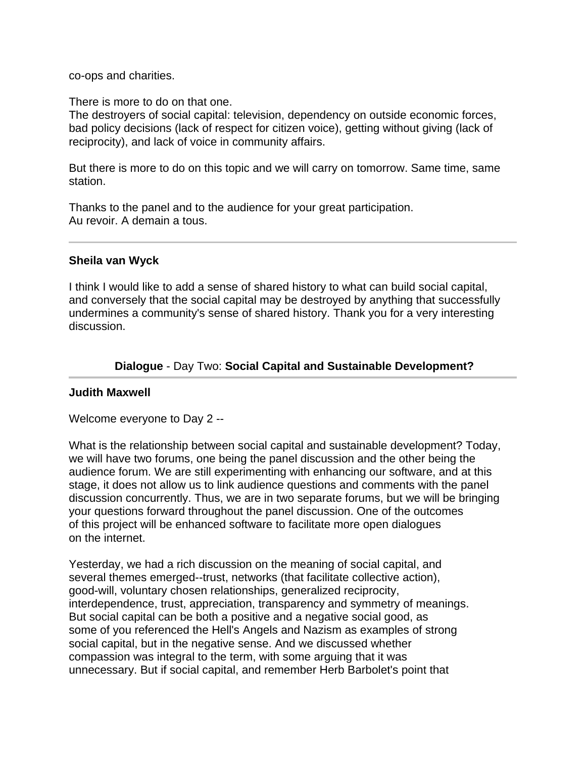co-ops and charities.

There is more to do on that one.

The destroyers of social capital: television, dependency on outside economic forces, bad policy decisions (lack of respect for citizen voice), getting without giving (lack of reciprocity), and lack of voice in community affairs.

But there is more to do on this topic and we will carry on tomorrow. Same time, same station.

Thanks to the panel and to the audience for your great participation. Au revoir. A demain a tous.

#### **Sheila van Wyck**

Ī

I think I would like to add a sense of shared history to what can build social capital, and conversely that the social capital may be destroyed by anything that successfully undermines a community's sense of shared history. Thank you for a very interesting discussion.

# **Dialogue** - Day Two: **Social Capital and Sustainable Development?**

#### **Judith Maxwell**

Welcome everyone to Day 2 --

What is the relationship between social capital and sustainable development? Today, we will have two forums, one being the panel discussion and the other being the audience forum. We are still experimenting with enhancing our software, and at this stage, it does not allow us to link audience questions and comments with the panel discussion concurrently. Thus, we are in two separate forums, but we will be bringing your questions forward throughout the panel discussion. One of the outcomes of this project will be enhanced software to facilitate more open dialogues on the internet.

Yesterday, we had a rich discussion on the meaning of social capital, and several themes emerged--trust, networks (that facilitate collective action), good-will, voluntary chosen relationships, generalized reciprocity, interdependence, trust, appreciation, transparency and symmetry of meanings. But social capital can be both a positive and a negative social good, as some of you referenced the Hell's Angels and Nazism as examples of strong social capital, but in the negative sense. And we discussed whether compassion was integral to the term, with some arguing that it was unnecessary. But if social capital, and remember Herb Barbolet's point that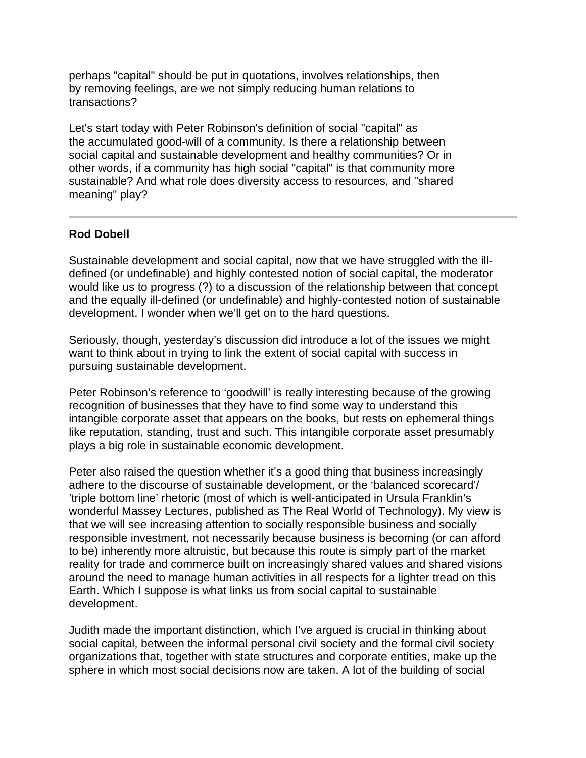perhaps "capital" should be put in quotations, involves relationships, then by removing feelings, are we not simply reducing human relations to transactions?

Let's start today with Peter Robinson's definition of social "capital" as the accumulated good-will of a community. Is there a relationship between social capital and sustainable development and healthy communities? Or in other words, if a community has high social "capital" is that community more sustainable? And what role does diversity access to resources, and "shared meaning" play?

# **Rod Dobell**

Ī

Sustainable development and social capital, now that we have struggled with the illdefined (or undefinable) and highly contested notion of social capital, the moderator would like us to progress (?) to a discussion of the relationship between that concept and the equally ill-defined (or undefinable) and highly-contested notion of sustainable development. I wonder when we'll get on to the hard questions.

Seriously, though, yesterday's discussion did introduce a lot of the issues we might want to think about in trying to link the extent of social capital with success in pursuing sustainable development.

Peter Robinson's reference to 'goodwill' is really interesting because of the growing recognition of businesses that they have to find some way to understand this intangible corporate asset that appears on the books, but rests on ephemeral things like reputation, standing, trust and such. This intangible corporate asset presumably plays a big role in sustainable economic development.

Peter also raised the question whether it's a good thing that business increasingly adhere to the discourse of sustainable development, or the 'balanced scorecard'/ 'triple bottom line' rhetoric (most of which is well-anticipated in Ursula Franklin's wonderful Massey Lectures, published as The Real World of Technology). My view is that we will see increasing attention to socially responsible business and socially responsible investment, not necessarily because business is becoming (or can afford to be) inherently more altruistic, but because this route is simply part of the market reality for trade and commerce built on increasingly shared values and shared visions around the need to manage human activities in all respects for a lighter tread on this Earth. Which I suppose is what links us from social capital to sustainable development.

Judith made the important distinction, which I've argued is crucial in thinking about social capital, between the informal personal civil society and the formal civil society organizations that, together with state structures and corporate entities, make up the sphere in which most social decisions now are taken. A lot of the building of social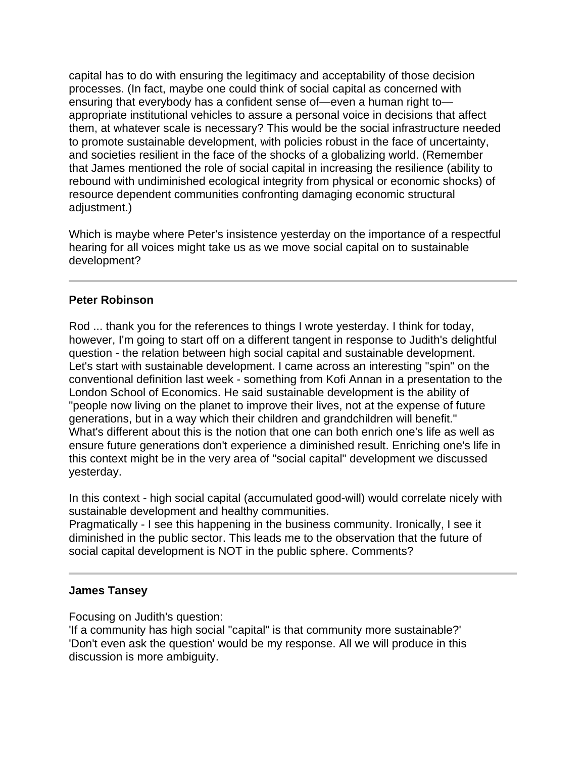capital has to do with ensuring the legitimacy and acceptability of those decision processes. (In fact, maybe one could think of social capital as concerned with ensuring that everybody has a confident sense of—even a human right to appropriate institutional vehicles to assure a personal voice in decisions that affect them, at whatever scale is necessary? This would be the social infrastructure needed to promote sustainable development, with policies robust in the face of uncertainty, and societies resilient in the face of the shocks of a globalizing world. (Remember that James mentioned the role of social capital in increasing the resilience (ability to rebound with undiminished ecological integrity from physical or economic shocks) of resource dependent communities confronting damaging economic structural adjustment.)

Which is maybe where Peter's insistence yesterday on the importance of a respectful hearing for all voices might take us as we move social capital on to sustainable development?

# **Peter Robinson**

Rod ... thank you for the references to things I wrote yesterday. I think for today, however, I'm going to start off on a different tangent in response to Judith's delightful question - the relation between high social capital and sustainable development. Let's start with sustainable development. I came across an interesting "spin" on the conventional definition last week - something from Kofi Annan in a presentation to the London School of Economics. He said sustainable development is the ability of "people now living on the planet to improve their lives, not at the expense of future generations, but in a way which their children and grandchildren will benefit." What's different about this is the notion that one can both enrich one's life as well as ensure future generations don't experience a diminished result. Enriching one's life in this context might be in the very area of "social capital" development we discussed yesterday.

In this context - high social capital (accumulated good-will) would correlate nicely with sustainable development and healthy communities.

Pragmatically - I see this happening in the business community. Ironically, I see it diminished in the public sector. This leads me to the observation that the future of social capital development is NOT in the public sphere. Comments?

# **James Tansey**

I

Focusing on Judith's question:

'If a community has high social "capital" is that community more sustainable?' 'Don't even ask the question' would be my response. All we will produce in this discussion is more ambiguity.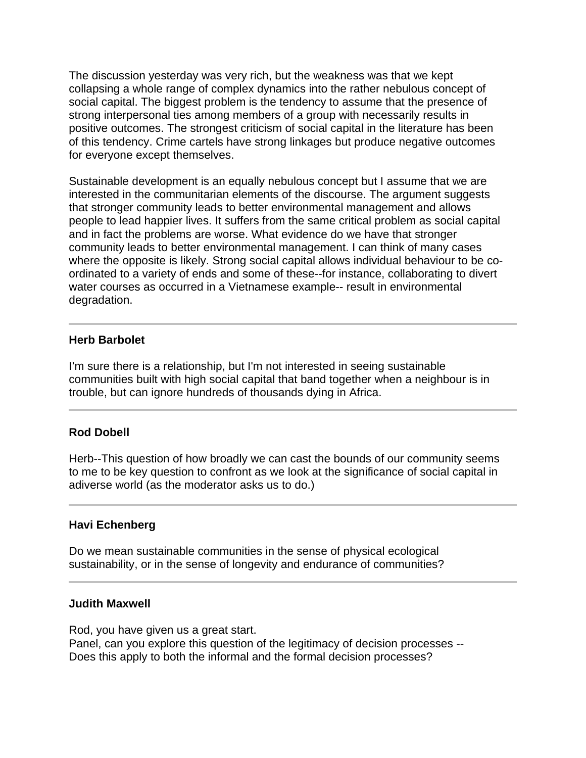The discussion yesterday was very rich, but the weakness was that we kept collapsing a whole range of complex dynamics into the rather nebulous concept of social capital. The biggest problem is the tendency to assume that the presence of strong interpersonal ties among members of a group with necessarily results in positive outcomes. The strongest criticism of social capital in the literature has been of this tendency. Crime cartels have strong linkages but produce negative outcomes for everyone except themselves.

Sustainable development is an equally nebulous concept but I assume that we are interested in the communitarian elements of the discourse. The argument suggests that stronger community leads to better environmental management and allows people to lead happier lives. It suffers from the same critical problem as social capital and in fact the problems are worse. What evidence do we have that stronger community leads to better environmental management. I can think of many cases where the opposite is likely. Strong social capital allows individual behaviour to be coordinated to a variety of ends and some of these--for instance, collaborating to divert water courses as occurred in a Vietnamese example-- result in environmental degradation.

#### **Herb Barbolet**

I

l

l

I'm sure there is a relationship, but I'm not interested in seeing sustainable communities built with high social capital that band together when a neighbour is in trouble, but can ignore hundreds of thousands dying in Africa.

# **Rod Dobell**

Herb--This question of how broadly we can cast the bounds of our community seems to me to be key question to confront as we look at the significance of social capital in adiverse world (as the moderator asks us to do.)

#### **Havi Echenberg**

Do we mean sustainable communities in the sense of physical ecological sustainability, or in the sense of longevity and endurance of communities?

#### **Judith Maxwell**

Rod, you have given us a great start. Panel, can you explore this question of the legitimacy of decision processes -- Does this apply to both the informal and the formal decision processes?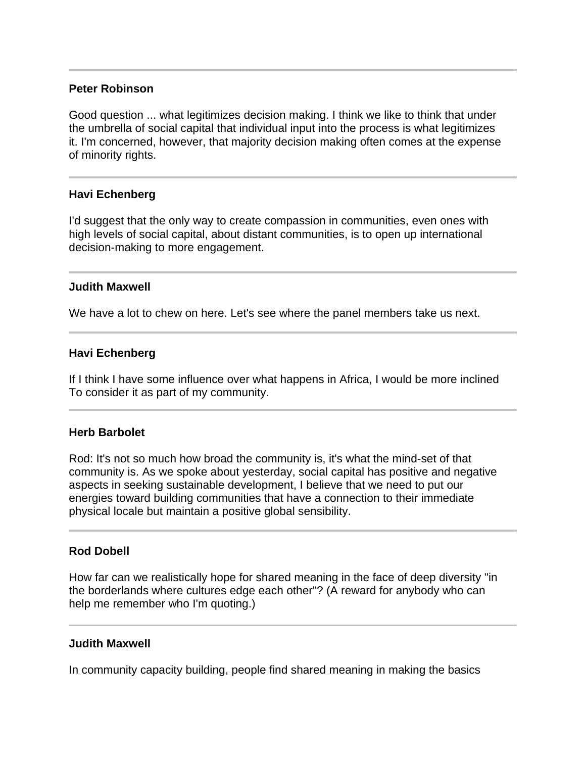### **Peter Robinson**

Good question ... what legitimizes decision making. I think we like to think that under the umbrella of social capital that individual input into the process is what legitimizes it. I'm concerned, however, that majority decision making often comes at the expense of minority rights.

# **Havi Echenberg**

I'd suggest that the only way to create compassion in communities, even ones with high levels of social capital, about distant communities, is to open up international decision-making to more engagement.

#### **Judith Maxwell**

j

We have a lot to chew on here. Let's see where the panel members take us next.

#### **Havi Echenberg**

If I think I have some influence over what happens in Africa, I would be more inclined To consider it as part of my community.

#### **Herb Barbolet**

Rod: It's not so much how broad the community is, it's what the mind-set of that community is. As we spoke about yesterday, social capital has positive and negative aspects in seeking sustainable development, I believe that we need to put our energies toward building communities that have a connection to their immediate physical locale but maintain a positive global sensibility.

#### **Rod Dobell**

How far can we realistically hope for shared meaning in the face of deep diversity "in the borderlands where cultures edge each other"? (A reward for anybody who can help me remember who I'm quoting.)

#### **Judith Maxwell**

Ī

In community capacity building, people find shared meaning in making the basics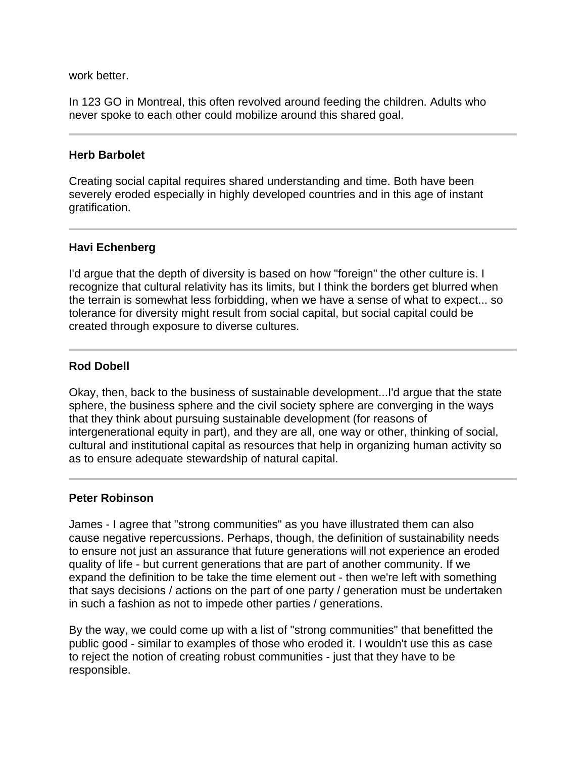work better.

In 123 GO in Montreal, this often revolved around feeding the children. Adults who never spoke to each other could mobilize around this shared goal.

### **Herb Barbolet**

Creating social capital requires shared understanding and time. Both have been severely eroded especially in highly developed countries and in this age of instant gratification.

# **Havi Echenberg**

Ī

I

I'd argue that the depth of diversity is based on how "foreign" the other culture is. I recognize that cultural relativity has its limits, but I think the borders get blurred when the terrain is somewhat less forbidding, when we have a sense of what to expect... so tolerance for diversity might result from social capital, but social capital could be created through exposure to diverse cultures.

# **Rod Dobell**

Okay, then, back to the business of sustainable development...I'd argue that the state sphere, the business sphere and the civil society sphere are converging in the ways that they think about pursuing sustainable development (for reasons of intergenerational equity in part), and they are all, one way or other, thinking of social, cultural and institutional capital as resources that help in organizing human activity so as to ensure adequate stewardship of natural capital.

#### **Peter Robinson**

James - I agree that "strong communities" as you have illustrated them can also cause negative repercussions. Perhaps, though, the definition of sustainability needs to ensure not just an assurance that future generations will not experience an eroded quality of life - but current generations that are part of another community. If we expand the definition to be take the time element out - then we're left with something that says decisions / actions on the part of one party / generation must be undertaken in such a fashion as not to impede other parties / generations.

By the way, we could come up with a list of "strong communities" that benefitted the public good - similar to examples of those who eroded it. I wouldn't use this as case to reject the notion of creating robust communities - just that they have to be responsible.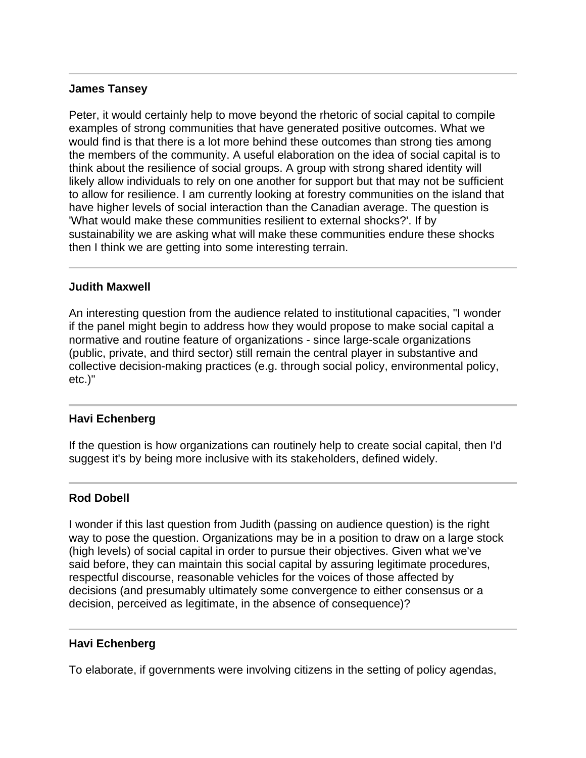# **James Tansey**

Peter, it would certainly help to move beyond the rhetoric of social capital to compile examples of strong communities that have generated positive outcomes. What we would find is that there is a lot more behind these outcomes than strong ties among the members of the community. A useful elaboration on the idea of social capital is to think about the resilience of social groups. A group with strong shared identity will likely allow individuals to rely on one another for support but that may not be sufficient to allow for resilience. I am currently looking at forestry communities on the island that have higher levels of social interaction than the Canadian average. The question is 'What would make these communities resilient to external shocks?'. If by sustainability we are asking what will make these communities endure these shocks then I think we are getting into some interesting terrain.

#### **Judith Maxwell**

An interesting question from the audience related to institutional capacities, "I wonder if the panel might begin to address how they would propose to make social capital a normative and routine feature of organizations - since large-scale organizations (public, private, and third sector) still remain the central player in substantive and collective decision-making practices (e.g. through social policy, environmental policy, etc.)"

# **Havi Echenberg**

l

j

If the question is how organizations can routinely help to create social capital, then I'd suggest it's by being more inclusive with its stakeholders, defined widely.

#### **Rod Dobell**

I wonder if this last question from Judith (passing on audience question) is the right way to pose the question. Organizations may be in a position to draw on a large stock (high levels) of social capital in order to pursue their objectives. Given what we've said before, they can maintain this social capital by assuring legitimate procedures, respectful discourse, reasonable vehicles for the voices of those affected by decisions (and presumably ultimately some convergence to either consensus or a decision, perceived as legitimate, in the absence of consequence)?

#### **Havi Echenberg**

To elaborate, if governments were involving citizens in the setting of policy agendas,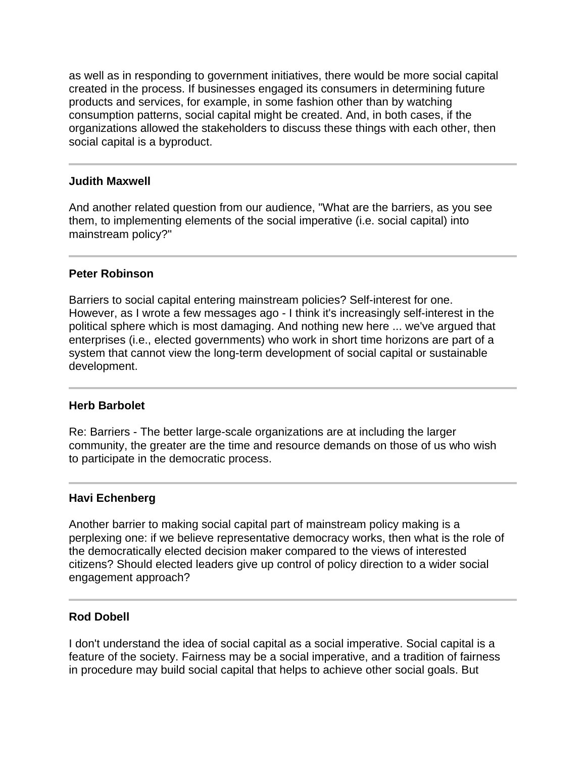as well as in responding to government initiatives, there would be more social capital created in the process. If businesses engaged its consumers in determining future products and services, for example, in some fashion other than by watching consumption patterns, social capital might be created. And, in both cases, if the organizations allowed the stakeholders to discuss these things with each other, then social capital is a byproduct.

#### **Judith Maxwell**

Ī

I

I

And another related question from our audience, "What are the barriers, as you see them, to implementing elements of the social imperative (i.e. social capital) into mainstream policy?"

#### **Peter Robinson**

Barriers to social capital entering mainstream policies? Self-interest for one. However, as I wrote a few messages ago - I think it's increasingly self-interest in the political sphere which is most damaging. And nothing new here ... we've argued that enterprises (i.e., elected governments) who work in short time horizons are part of a system that cannot view the long-term development of social capital or sustainable development.

#### **Herb Barbolet**

Re: Barriers - The better large-scale organizations are at including the larger community, the greater are the time and resource demands on those of us who wish to participate in the democratic process.

#### **Havi Echenberg**

Another barrier to making social capital part of mainstream policy making is a perplexing one: if we believe representative democracy works, then what is the role of the democratically elected decision maker compared to the views of interested citizens? Should elected leaders give up control of policy direction to a wider social engagement approach?

#### **Rod Dobell**

I

I don't understand the idea of social capital as a social imperative. Social capital is a feature of the society. Fairness may be a social imperative, and a tradition of fairness in procedure may build social capital that helps to achieve other social goals. But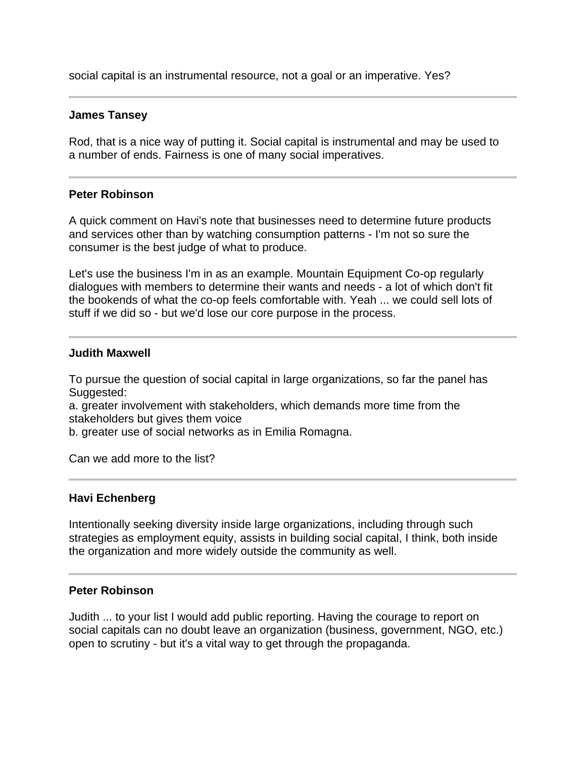social capital is an instrumental resource, not a goal or an imperative. Yes?

### **James Tansey**

Ī

Rod, that is a nice way of putting it. Social capital is instrumental and may be used to a number of ends. Fairness is one of many social imperatives.

# **Peter Robinson**

A quick comment on Havi's note that businesses need to determine future products and services other than by watching consumption patterns - I'm not so sure the consumer is the best judge of what to produce.

Let's use the business I'm in as an example. Mountain Equipment Co-op regularly dialogues with members to determine their wants and needs - a lot of which don't fit the bookends of what the co-op feels comfortable with. Yeah ... we could sell lots of stuff if we did so - but we'd lose our core purpose in the process.

#### **Judith Maxwell**

To pursue the question of social capital in large organizations, so far the panel has Suggested:

a. greater involvement with stakeholders, which demands more time from the stakeholders but gives them voice

b. greater use of social networks as in Emilia Romagna.

Can we add more to the list?

#### **Havi Echenberg**

Ī

I

Intentionally seeking diversity inside large organizations, including through such strategies as employment equity, assists in building social capital, I think, both inside the organization and more widely outside the community as well.

# **Peter Robinson**

Judith ... to your list I would add public reporting. Having the courage to report on social capitals can no doubt leave an organization (business, government, NGO, etc.) open to scrutiny - but it's a vital way to get through the propaganda.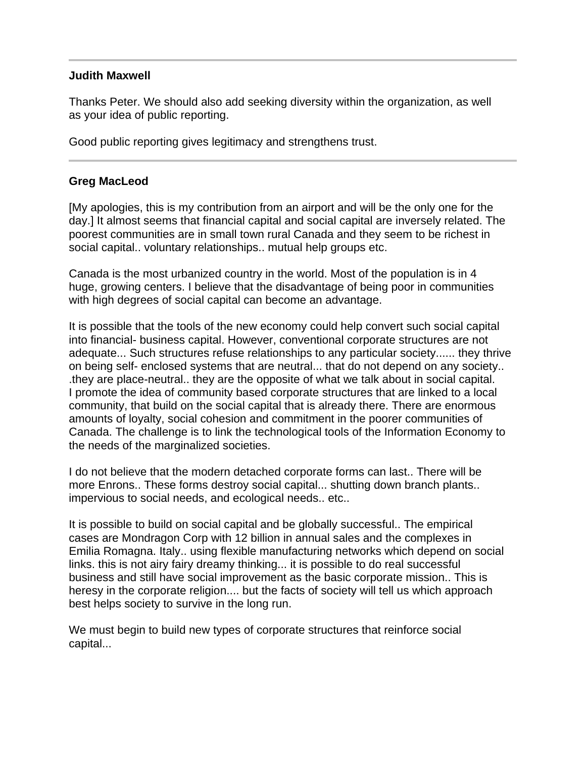# **Judith Maxwell**

Thanks Peter. We should also add seeking diversity within the organization, as well as your idea of public reporting.

Good public reporting gives legitimacy and strengthens trust.

# **Greg MacLeod**

[My apologies, this is my contribution from an airport and will be the only one for the day.] It almost seems that financial capital and social capital are inversely related. The poorest communities are in small town rural Canada and they seem to be richest in social capital.. voluntary relationships.. mutual help groups etc.

Canada is the most urbanized country in the world. Most of the population is in 4 huge, growing centers. I believe that the disadvantage of being poor in communities with high degrees of social capital can become an advantage.

It is possible that the tools of the new economy could help convert such social capital into financial- business capital. However, conventional corporate structures are not adequate... Such structures refuse relationships to any particular society...... they thrive on being self- enclosed systems that are neutral... that do not depend on any society.. .they are place-neutral.. they are the opposite of what we talk about in social capital. I promote the idea of community based corporate structures that are linked to a local community, that build on the social capital that is already there. There are enormous amounts of loyalty, social cohesion and commitment in the poorer communities of Canada. The challenge is to link the technological tools of the Information Economy to the needs of the marginalized societies.

I do not believe that the modern detached corporate forms can last.. There will be more Enrons.. These forms destroy social capital... shutting down branch plants.. impervious to social needs, and ecological needs.. etc..

It is possible to build on social capital and be globally successful.. The empirical cases are Mondragon Corp with 12 billion in annual sales and the complexes in Emilia Romagna. Italy.. using flexible manufacturing networks which depend on social links. this is not airy fairy dreamy thinking... it is possible to do real successful business and still have social improvement as the basic corporate mission.. This is heresy in the corporate religion.... but the facts of society will tell us which approach best helps society to survive in the long run.

We must begin to build new types of corporate structures that reinforce social capital...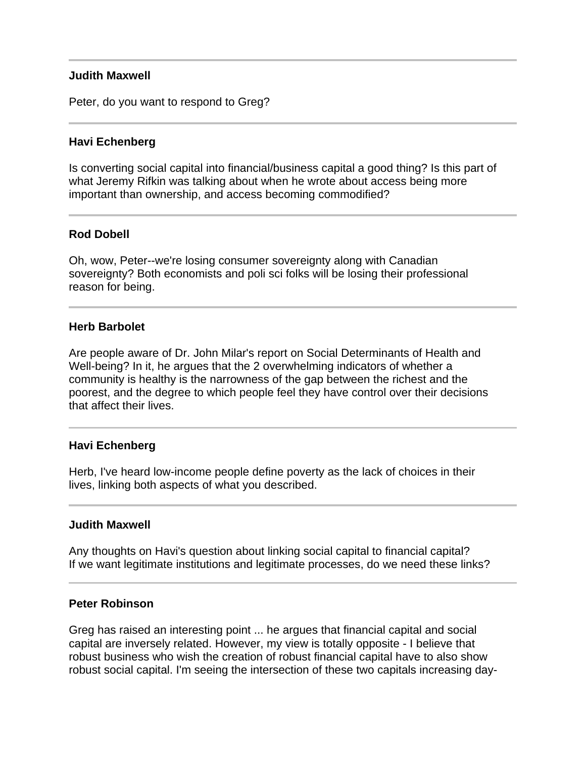### **Judith Maxwell**

Peter, do you want to respond to Greg?

### **Havi Echenberg**

Is converting social capital into financial/business capital a good thing? Is this part of what Jeremy Rifkin was talking about when he wrote about access being more important than ownership, and access becoming commodified?

# **Rod Dobell**

Oh, wow, Peter--we're losing consumer sovereignty along with Canadian sovereignty? Both economists and poli sci folks will be losing their professional reason for being.

#### **Herb Barbolet**

Are people aware of Dr. John Milar's report on Social Determinants of Health and Well-being? In it, he argues that the 2 overwhelming indicators of whether a community is healthy is the narrowness of the gap between the richest and the poorest, and the degree to which people feel they have control over their decisions that affect their lives.

#### **Havi Echenberg**

Ï

l

Herb, I've heard low-income people define poverty as the lack of choices in their lives, linking both aspects of what you described.

#### **Judith Maxwell**

Any thoughts on Havi's question about linking social capital to financial capital? If we want legitimate institutions and legitimate processes, do we need these links?

#### **Peter Robinson**

Greg has raised an interesting point ... he argues that financial capital and social capital are inversely related. However, my view is totally opposite - I believe that robust business who wish the creation of robust financial capital have to also show robust social capital. I'm seeing the intersection of these two capitals increasing day-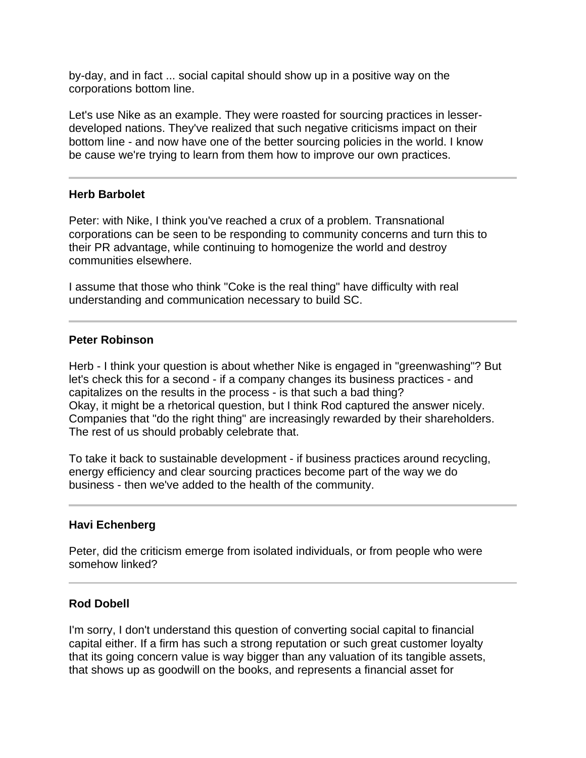by-day, and in fact ... social capital should show up in a positive way on the corporations bottom line.

Let's use Nike as an example. They were roasted for sourcing practices in lesserdeveloped nations. They've realized that such negative criticisms impact on their bottom line - and now have one of the better sourcing policies in the world. I know be cause we're trying to learn from them how to improve our own practices.

# **Herb Barbolet**

I

Ī

Peter: with Nike, I think you've reached a crux of a problem. Transnational corporations can be seen to be responding to community concerns and turn this to their PR advantage, while continuing to homogenize the world and destroy communities elsewhere.

I assume that those who think "Coke is the real thing" have difficulty with real understanding and communication necessary to build SC.

# **Peter Robinson**

Herb - I think your question is about whether Nike is engaged in "greenwashing"? But let's check this for a second - if a company changes its business practices - and capitalizes on the results in the process - is that such a bad thing? Okay, it might be a rhetorical question, but I think Rod captured the answer nicely. Companies that "do the right thing" are increasingly rewarded by their shareholders. The rest of us should probably celebrate that.

To take it back to sustainable development - if business practices around recycling, energy efficiency and clear sourcing practices become part of the way we do business - then we've added to the health of the community.

#### **Havi Echenberg**

Peter, did the criticism emerge from isolated individuals, or from people who were somehow linked?

#### **Rod Dobell**

I'm sorry, I don't understand this question of converting social capital to financial capital either. If a firm has such a strong reputation or such great customer loyalty that its going concern value is way bigger than any valuation of its tangible assets, that shows up as goodwill on the books, and represents a financial asset for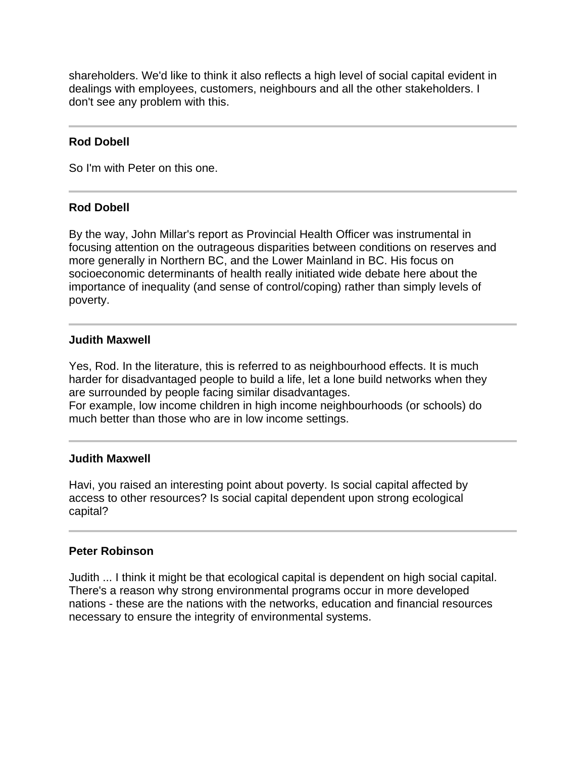shareholders. We'd like to think it also reflects a high level of social capital evident in dealings with employees, customers, neighbours and all the other stakeholders. I don't see any problem with this.

# **Rod Dobell**

So I'm with Peter on this one.

#### I **Rod Dobell**

By the way, John Millar's report as Provincial Health Officer was instrumental in focusing attention on the outrageous disparities between conditions on reserves and more generally in Northern BC, and the Lower Mainland in BC. His focus on socioeconomic determinants of health really initiated wide debate here about the importance of inequality (and sense of control/coping) rather than simply levels of poverty.

# **Judith Maxwell**

Yes, Rod. In the literature, this is referred to as neighbourhood effects. It is much harder for disadvantaged people to build a life, let a lone build networks when they are surrounded by people facing similar disadvantages. For example, low income children in high income neighbourhoods (or schools) do

much better than those who are in low income settings.

# **Judith Maxwell**

Havi, you raised an interesting point about poverty. Is social capital affected by access to other resources? Is social capital dependent upon strong ecological capital?

# **Peter Robinson**

Judith ... I think it might be that ecological capital is dependent on high social capital. There's a reason why strong environmental programs occur in more developed nations - these are the nations with the networks, education and financial resources necessary to ensure the integrity of environmental systems.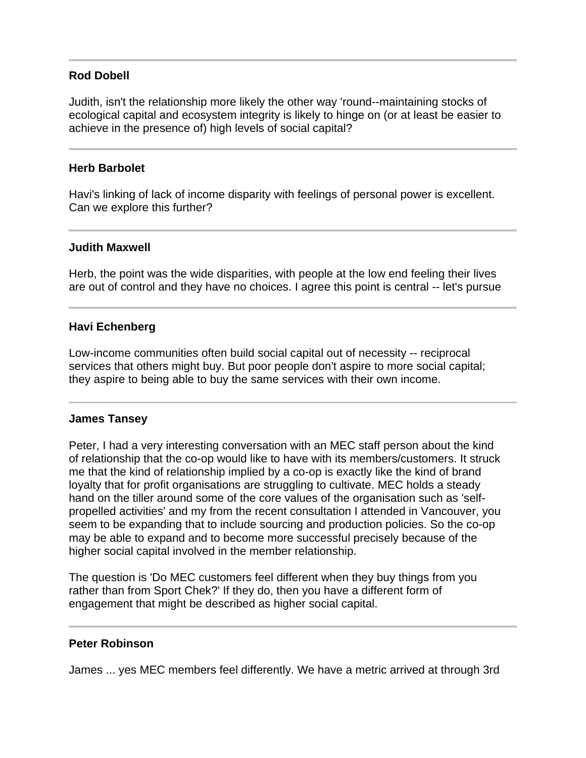# **Rod Dobell**

Judith, isn't the relationship more likely the other way 'round--maintaining stocks of ecological capital and ecosystem integrity is likely to hinge on (or at least be easier to achieve in the presence of) high levels of social capital?

### **Herb Barbolet**

Havi's linking of lack of income disparity with feelings of personal power is excellent. Can we explore this further?

#### **Judith Maxwell**

Ī

Ī

I

Herb, the point was the wide disparities, with people at the low end feeling their lives are out of control and they have no choices. I agree this point is central -- let's pursue

# **Havi Echenberg**

Low-income communities often build social capital out of necessity -- reciprocal services that others might buy. But poor people don't aspire to more social capital; they aspire to being able to buy the same services with their own income.

#### **James Tansey**

Peter, I had a very interesting conversation with an MEC staff person about the kind of relationship that the co-op would like to have with its members/customers. It struck me that the kind of relationship implied by a co-op is exactly like the kind of brand loyalty that for profit organisations are struggling to cultivate. MEC holds a steady hand on the tiller around some of the core values of the organisation such as 'selfpropelled activities' and my from the recent consultation I attended in Vancouver, you seem to be expanding that to include sourcing and production policies. So the co-op may be able to expand and to become more successful precisely because of the higher social capital involved in the member relationship.

The question is 'Do MEC customers feel different when they buy things from you rather than from Sport Chek?' If they do, then you have a different form of engagement that might be described as higher social capital.

#### **Peter Robinson**

Ī

James ... yes MEC members feel differently. We have a metric arrived at through 3rd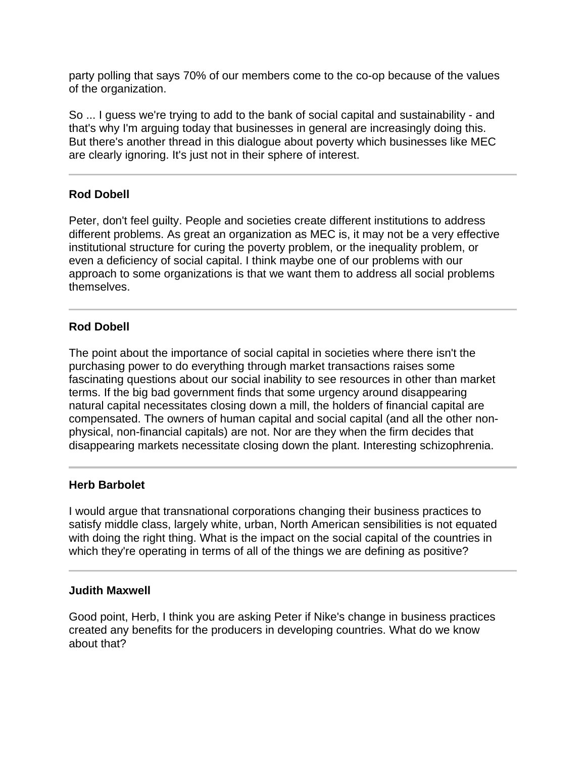party polling that says 70% of our members come to the co-op because of the values of the organization.

So ... I guess we're trying to add to the bank of social capital and sustainability - and that's why I'm arguing today that businesses in general are increasingly doing this. But there's another thread in this dialogue about poverty which businesses like MEC are clearly ignoring. It's just not in their sphere of interest.

# **Rod Dobell**

Peter, don't feel guilty. People and societies create different institutions to address different problems. As great an organization as MEC is, it may not be a very effective institutional structure for curing the poverty problem, or the inequality problem, or even a deficiency of social capital. I think maybe one of our problems with our approach to some organizations is that we want them to address all social problems themselves.

# **Rod Dobell**

The point about the importance of social capital in societies where there isn't the purchasing power to do everything through market transactions raises some fascinating questions about our social inability to see resources in other than market terms. If the big bad government finds that some urgency around disappearing natural capital necessitates closing down a mill, the holders of financial capital are compensated. The owners of human capital and social capital (and all the other nonphysical, non-financial capitals) are not. Nor are they when the firm decides that disappearing markets necessitate closing down the plant. Interesting schizophrenia.

# **Herb Barbolet**

Ī

I would argue that transnational corporations changing their business practices to satisfy middle class, largely white, urban, North American sensibilities is not equated with doing the right thing. What is the impact on the social capital of the countries in which they're operating in terms of all of the things we are defining as positive?

#### **Judith Maxwell**

Good point, Herb, I think you are asking Peter if Nike's change in business practices created any benefits for the producers in developing countries. What do we know about that?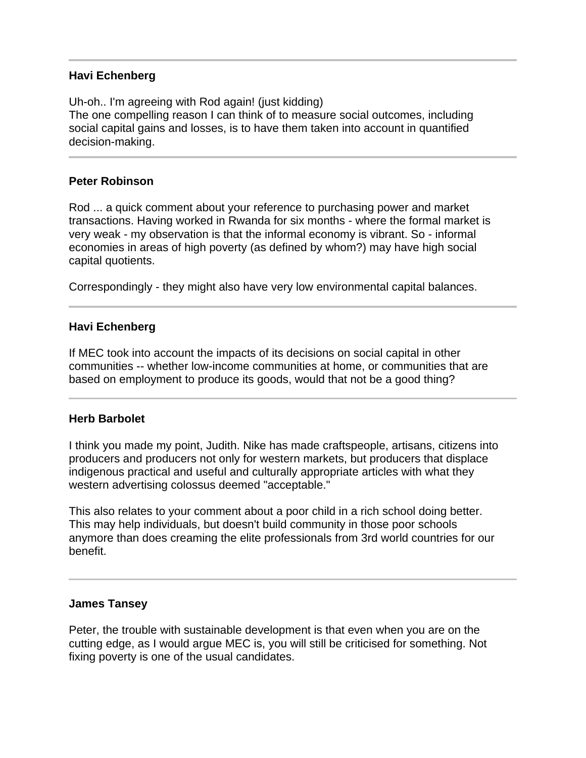# **Havi Echenberg**

Uh-oh.. I'm agreeing with Rod again! (just kidding) The one compelling reason I can think of to measure social outcomes, including social capital gains and losses, is to have them taken into account in quantified decision-making.

# **Peter Robinson**

Rod ... a quick comment about your reference to purchasing power and market transactions. Having worked in Rwanda for six months - where the formal market is very weak - my observation is that the informal economy is vibrant. So - informal economies in areas of high poverty (as defined by whom?) may have high social capital quotients.

Correspondingly - they might also have very low environmental capital balances.

# **Havi Echenberg**

If MEC took into account the impacts of its decisions on social capital in other communities -- whether low-income communities at home, or communities that are based on employment to produce its goods, would that not be a good thing?

#### **Herb Barbolet**

 $\overline{a}$ 

l

I think you made my point, Judith. Nike has made craftspeople, artisans, citizens into producers and producers not only for western markets, but producers that displace indigenous practical and useful and culturally appropriate articles with what they western advertising colossus deemed "acceptable."

This also relates to your comment about a poor child in a rich school doing better. This may help individuals, but doesn't build community in those poor schools anymore than does creaming the elite professionals from 3rd world countries for our benefit.

#### **James Tansey**

Peter, the trouble with sustainable development is that even when you are on the cutting edge, as I would argue MEC is, you will still be criticised for something. Not fixing poverty is one of the usual candidates.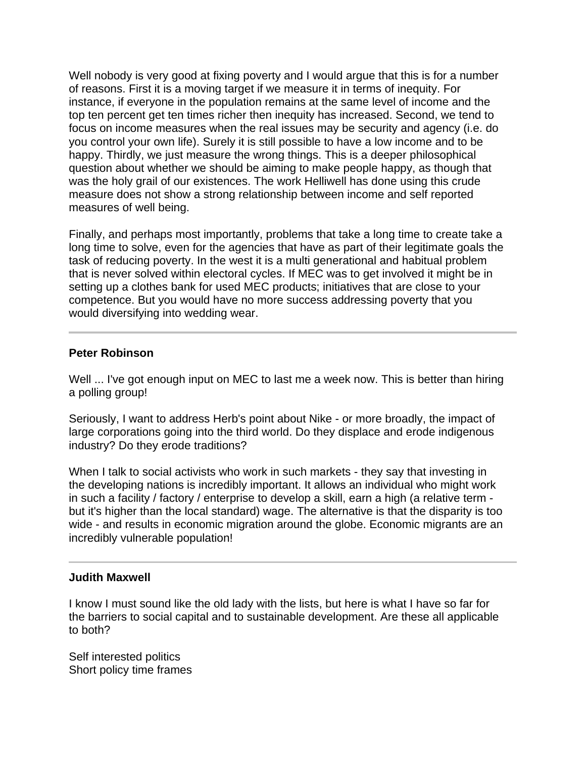Well nobody is very good at fixing poverty and I would argue that this is for a number of reasons. First it is a moving target if we measure it in terms of inequity. For instance, if everyone in the population remains at the same level of income and the top ten percent get ten times richer then inequity has increased. Second, we tend to focus on income measures when the real issues may be security and agency (i.e. do you control your own life). Surely it is still possible to have a low income and to be happy. Thirdly, we just measure the wrong things. This is a deeper philosophical question about whether we should be aiming to make people happy, as though that was the holy grail of our existences. The work Helliwell has done using this crude measure does not show a strong relationship between income and self reported measures of well being.

Finally, and perhaps most importantly, problems that take a long time to create take a long time to solve, even for the agencies that have as part of their legitimate goals the task of reducing poverty. In the west it is a multi generational and habitual problem that is never solved within electoral cycles. If MEC was to get involved it might be in setting up a clothes bank for used MEC products; initiatives that are close to your competence. But you would have no more success addressing poverty that you would diversifying into wedding wear.

# **Peter Robinson**

Well ... I've got enough input on MEC to last me a week now. This is better than hiring a polling group!

Seriously, I want to address Herb's point about Nike - or more broadly, the impact of large corporations going into the third world. Do they displace and erode indigenous industry? Do they erode traditions?

When I talk to social activists who work in such markets - they say that investing in the developing nations is incredibly important. It allows an individual who might work in such a facility / factory / enterprise to develop a skill, earn a high (a relative term but it's higher than the local standard) wage. The alternative is that the disparity is too wide - and results in economic migration around the globe. Economic migrants are an incredibly vulnerable population!

#### **Judith Maxwell**

j

I know I must sound like the old lady with the lists, but here is what I have so far for the barriers to social capital and to sustainable development. Are these all applicable to both?

Self interested politics Short policy time frames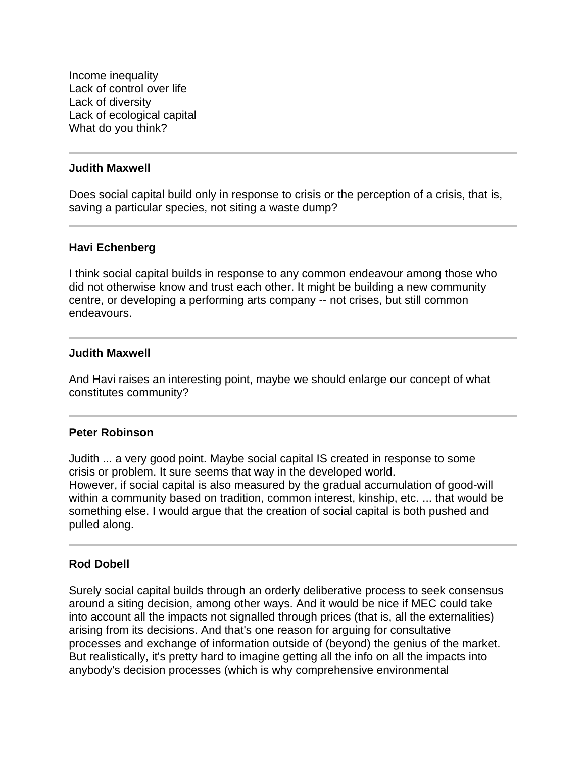Income inequality Lack of control over life Lack of diversity Lack of ecological capital What do you think?

#### **Judith Maxwell**

j

Does social capital build only in response to crisis or the perception of a crisis, that is, saving a particular species, not siting a waste dump?

#### **Havi Echenberg**

I think social capital builds in response to any common endeavour among those who did not otherwise know and trust each other. It might be building a new community centre, or developing a performing arts company -- not crises, but still common endeavours.

#### **Judith Maxwell**

And Havi raises an interesting point, maybe we should enlarge our concept of what constitutes community?

#### **Peter Robinson**

Judith ... a very good point. Maybe social capital IS created in response to some crisis or problem. It sure seems that way in the developed world. However, if social capital is also measured by the gradual accumulation of good-will within a community based on tradition, common interest, kinship, etc. ... that would be something else. I would argue that the creation of social capital is both pushed and pulled along.

#### **Rod Dobell**

Surely social capital builds through an orderly deliberative process to seek consensus around a siting decision, among other ways. And it would be nice if MEC could take into account all the impacts not signalled through prices (that is, all the externalities) arising from its decisions. And that's one reason for arguing for consultative processes and exchange of information outside of (beyond) the genius of the market. But realistically, it's pretty hard to imagine getting all the info on all the impacts into anybody's decision processes (which is why comprehensive environmental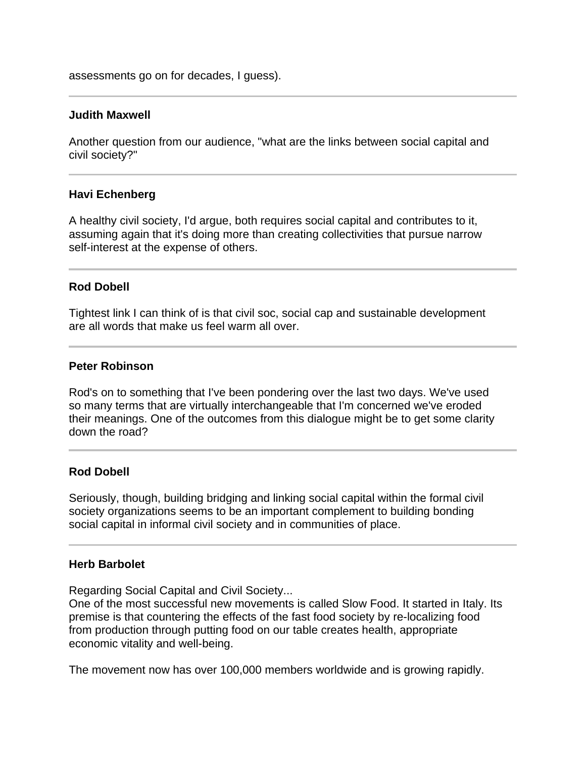assessments go on for decades, I guess).

#### **Judith Maxwell**

Another question from our audience, "what are the links between social capital and civil society?"

#### **Havi Echenberg**

 $\overline{a}$ 

A healthy civil society, I'd argue, both requires social capital and contributes to it, assuming again that it's doing more than creating collectivities that pursue narrow self-interest at the expense of others.

#### **Rod Dobell**

Tightest link I can think of is that civil soc, social cap and sustainable development are all words that make us feel warm all over.

#### **Peter Robinson**

Rod's on to something that I've been pondering over the last two days. We've used so many terms that are virtually interchangeable that I'm concerned we've eroded their meanings. One of the outcomes from this dialogue might be to get some clarity down the road?

#### **Rod Dobell**

Seriously, though, building bridging and linking social capital within the formal civil society organizations seems to be an important complement to building bonding social capital in informal civil society and in communities of place.

#### **Herb Barbolet**

Regarding Social Capital and Civil Society...

One of the most successful new movements is called Slow Food. It started in Italy. Its premise is that countering the effects of the fast food society by re-localizing food from production through putting food on our table creates health, appropriate economic vitality and well-being.

The movement now has over 100,000 members worldwide and is growing rapidly.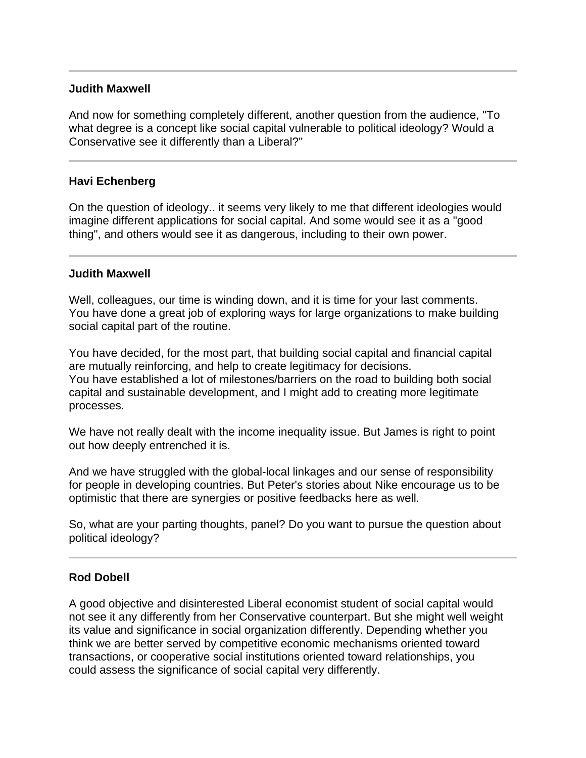# **Judith Maxwell**

Ī

And now for something completely different, another question from the audience, "To what degree is a concept like social capital vulnerable to political ideology? Would a Conservative see it differently than a Liberal?"

# **Havi Echenberg**

On the question of ideology.. it seems very likely to me that different ideologies would imagine different applications for social capital. And some would see it as a "good thing", and others would see it as dangerous, including to their own power.

#### **Judith Maxwell**

Well, colleagues, our time is winding down, and it is time for your last comments. You have done a great job of exploring ways for large organizations to make building social capital part of the routine.

You have decided, for the most part, that building social capital and financial capital are mutually reinforcing, and help to create legitimacy for decisions. You have established a lot of milestones/barriers on the road to building both social capital and sustainable development, and I might add to creating more legitimate processes.

We have not really dealt with the income inequality issue. But James is right to point out how deeply entrenched it is.

And we have struggled with the global-local linkages and our sense of responsibility for people in developing countries. But Peter's stories about Nike encourage us to be optimistic that there are synergies or positive feedbacks here as well.

So, what are your parting thoughts, panel? Do you want to pursue the question about political ideology?

#### **Rod Dobell**

A good objective and disinterested Liberal economist student of social capital would not see it any differently from her Conservative counterpart. But she might well weight its value and significance in social organization differently. Depending whether you think we are better served by competitive economic mechanisms oriented toward transactions, or cooperative social institutions oriented toward relationships, you could assess the significance of social capital very differently.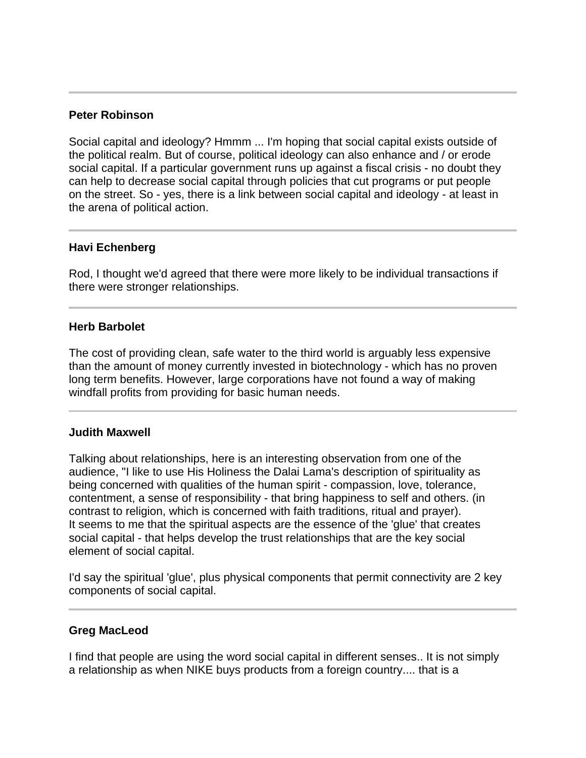# **Peter Robinson**

Social capital and ideology? Hmmm ... I'm hoping that social capital exists outside of the political realm. But of course, political ideology can also enhance and / or erode social capital. If a particular government runs up against a fiscal crisis - no doubt they can help to decrease social capital through policies that cut programs or put people on the street. So - yes, there is a link between social capital and ideology - at least in the arena of political action.

# **Havi Echenberg**

Ī

Ī

l

Rod, I thought we'd agreed that there were more likely to be individual transactions if there were stronger relationships.

# **Herb Barbolet**

The cost of providing clean, safe water to the third world is arguably less expensive than the amount of money currently invested in biotechnology - which has no proven long term benefits. However, large corporations have not found a way of making windfall profits from providing for basic human needs.

#### **Judith Maxwell**

Talking about relationships, here is an interesting observation from one of the audience, "I like to use His Holiness the Dalai Lama's description of spirituality as being concerned with qualities of the human spirit - compassion, love, tolerance, contentment, a sense of responsibility - that bring happiness to self and others. (in contrast to religion, which is concerned with faith traditions, ritual and prayer). It seems to me that the spiritual aspects are the essence of the 'glue' that creates social capital - that helps develop the trust relationships that are the key social element of social capital.

I'd say the spiritual 'glue', plus physical components that permit connectivity are 2 key components of social capital.

# **Greg MacLeod**

I find that people are using the word social capital in different senses.. It is not simply a relationship as when NIKE buys products from a foreign country.... that is a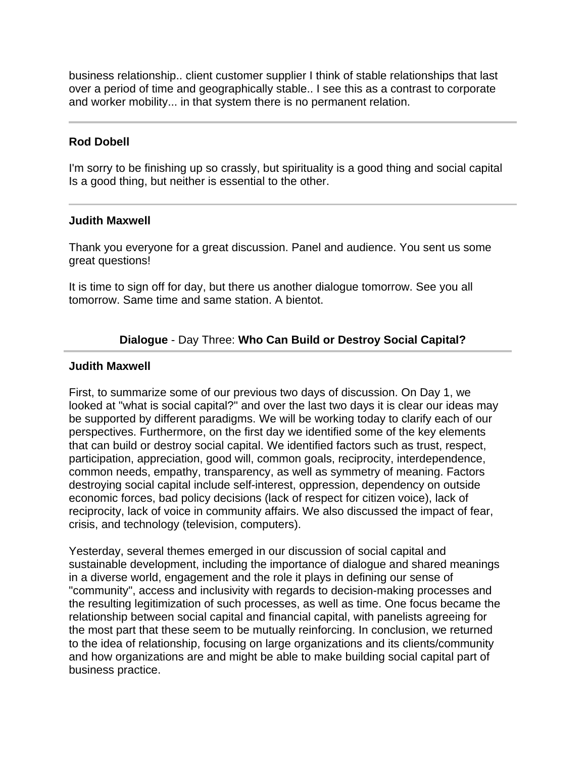business relationship.. client customer supplier I think of stable relationships that last over a period of time and geographically stable.. I see this as a contrast to corporate and worker mobility... in that system there is no permanent relation.

# **Rod Dobell**

I'm sorry to be finishing up so crassly, but spirituality is a good thing and social capital Is a good thing, but neither is essential to the other.

#### **Judith Maxwell**

Thank you everyone for a great discussion. Panel and audience. You sent us some great questions!

It is time to sign off for day, but there us another dialogue tomorrow. See you all tomorrow. Same time and same station. A bientot.

# **Dialogue** - Day Three: **Who Can Build or Destroy Social Capital?**

# **Judith Maxwell**

First, to summarize some of our previous two days of discussion. On Day 1, we looked at "what is social capital?" and over the last two days it is clear our ideas may be supported by different paradigms. We will be working today to clarify each of our perspectives. Furthermore, on the first day we identified some of the key elements that can build or destroy social capital. We identified factors such as trust, respect, participation, appreciation, good will, common goals, reciprocity, interdependence, common needs, empathy, transparency, as well as symmetry of meaning. Factors destroying social capital include self-interest, oppression, dependency on outside economic forces, bad policy decisions (lack of respect for citizen voice), lack of reciprocity, lack of voice in community affairs. We also discussed the impact of fear, crisis, and technology (television, computers).

Yesterday, several themes emerged in our discussion of social capital and sustainable development, including the importance of dialogue and shared meanings in a diverse world, engagement and the role it plays in defining our sense of "community", access and inclusivity with regards to decision-making processes and the resulting legitimization of such processes, as well as time. One focus became the relationship between social capital and financial capital, with panelists agreeing for the most part that these seem to be mutually reinforcing. In conclusion, we returned to the idea of relationship, focusing on large organizations and its clients/community and how organizations are and might be able to make building social capital part of business practice.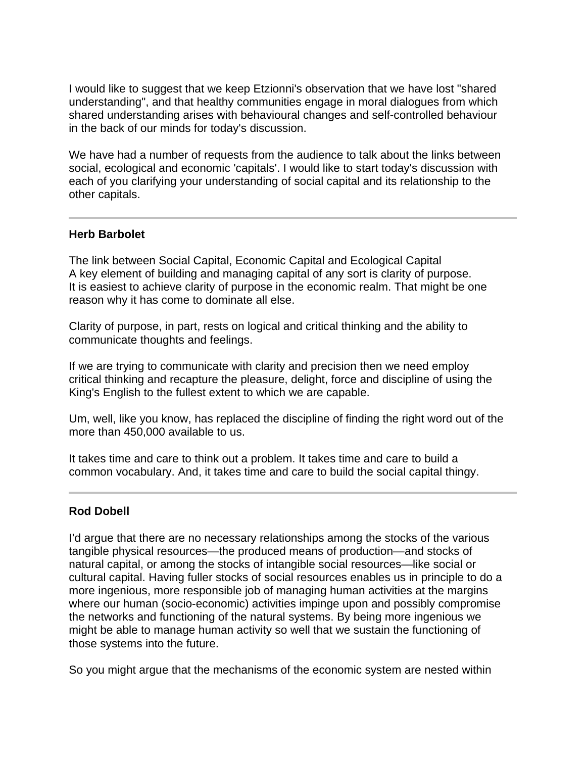I would like to suggest that we keep Etzionni's observation that we have lost "shared understanding", and that healthy communities engage in moral dialogues from which shared understanding arises with behavioural changes and self-controlled behaviour in the back of our minds for today's discussion.

We have had a number of requests from the audience to talk about the links between social, ecological and economic 'capitals'. I would like to start today's discussion with each of you clarifying your understanding of social capital and its relationship to the other capitals.

# **Herb Barbolet**

I

The link between Social Capital, Economic Capital and Ecological Capital A key element of building and managing capital of any sort is clarity of purpose. It is easiest to achieve clarity of purpose in the economic realm. That might be one reason why it has come to dominate all else.

Clarity of purpose, in part, rests on logical and critical thinking and the ability to communicate thoughts and feelings.

If we are trying to communicate with clarity and precision then we need employ critical thinking and recapture the pleasure, delight, force and discipline of using the King's English to the fullest extent to which we are capable.

Um, well, like you know, has replaced the discipline of finding the right word out of the more than 450,000 available to us.

It takes time and care to think out a problem. It takes time and care to build a common vocabulary. And, it takes time and care to build the social capital thingy.

# **Rod Dobell**

I'd argue that there are no necessary relationships among the stocks of the various tangible physical resources—the produced means of production—and stocks of natural capital, or among the stocks of intangible social resources—like social or cultural capital. Having fuller stocks of social resources enables us in principle to do a more ingenious, more responsible job of managing human activities at the margins where our human (socio-economic) activities impinge upon and possibly compromise the networks and functioning of the natural systems. By being more ingenious we might be able to manage human activity so well that we sustain the functioning of those systems into the future.

So you might argue that the mechanisms of the economic system are nested within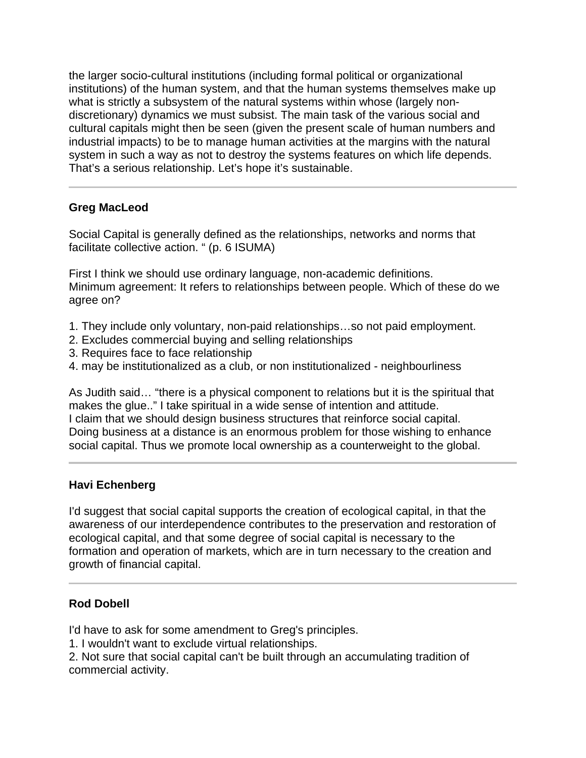the larger socio-cultural institutions (including formal political or organizational institutions) of the human system, and that the human systems themselves make up what is strictly a subsystem of the natural systems within whose (largely nondiscretionary) dynamics we must subsist. The main task of the various social and cultural capitals might then be seen (given the present scale of human numbers and industrial impacts) to be to manage human activities at the margins with the natural system in such a way as not to destroy the systems features on which life depends. That's a serious relationship. Let's hope it's sustainable.

# **Greg MacLeod**

l

Social Capital is generally defined as the relationships, networks and norms that facilitate collective action. " (p. 6 ISUMA)

First I think we should use ordinary language, non-academic definitions. Minimum agreement: It refers to relationships between people. Which of these do we agree on?

- 1. They include only voluntary, non-paid relationships…so not paid employment.
- 2. Excludes commercial buying and selling relationships
- 3. Requires face to face relationship
- 4. may be institutionalized as a club, or non institutionalized neighbourliness

As Judith said… "there is a physical component to relations but it is the spiritual that makes the glue.." I take spiritual in a wide sense of intention and attitude. I claim that we should design business structures that reinforce social capital. Doing business at a distance is an enormous problem for those wishing to enhance social capital. Thus we promote local ownership as a counterweight to the global.

# **Havi Echenberg**

l

I'd suggest that social capital supports the creation of ecological capital, in that the awareness of our interdependence contributes to the preservation and restoration of ecological capital, and that some degree of social capital is necessary to the formation and operation of markets, which are in turn necessary to the creation and growth of financial capital.

# **Rod Dobell**

I'd have to ask for some amendment to Greg's principles.

1. I wouldn't want to exclude virtual relationships.

2. Not sure that social capital can't be built through an accumulating tradition of commercial activity.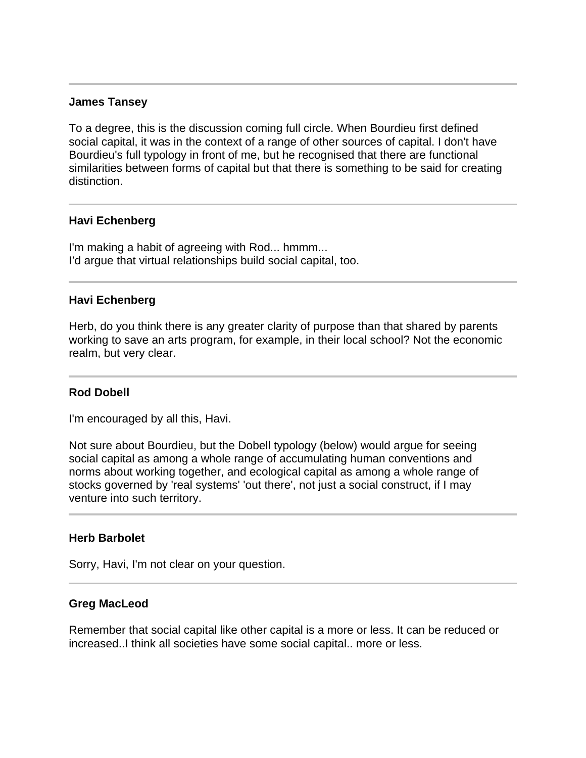#### **James Tansey**

Ī

I

To a degree, this is the discussion coming full circle. When Bourdieu first defined social capital, it was in the context of a range of other sources of capital. I don't have Bourdieu's full typology in front of me, but he recognised that there are functional similarities between forms of capital but that there is something to be said for creating distinction.

#### **Havi Echenberg**

I'm making a habit of agreeing with Rod... hmmm... I'd argue that virtual relationships build social capital, too.

#### **Havi Echenberg**

Herb, do you think there is any greater clarity of purpose than that shared by parents working to save an arts program, for example, in their local school? Not the economic realm, but very clear.

#### **Rod Dobell**

I

 $\overline{a}$ 

I'm encouraged by all this, Havi.

Not sure about Bourdieu, but the Dobell typology (below) would argue for seeing social capital as among a whole range of accumulating human conventions and norms about working together, and ecological capital as among a whole range of stocks governed by 'real systems' 'out there', not just a social construct, if I may venture into such territory.

#### **Herb Barbolet**

Sorry, Havi, I'm not clear on your question.

#### **Greg MacLeod**

Remember that social capital like other capital is a more or less. It can be reduced or increased..I think all societies have some social capital.. more or less.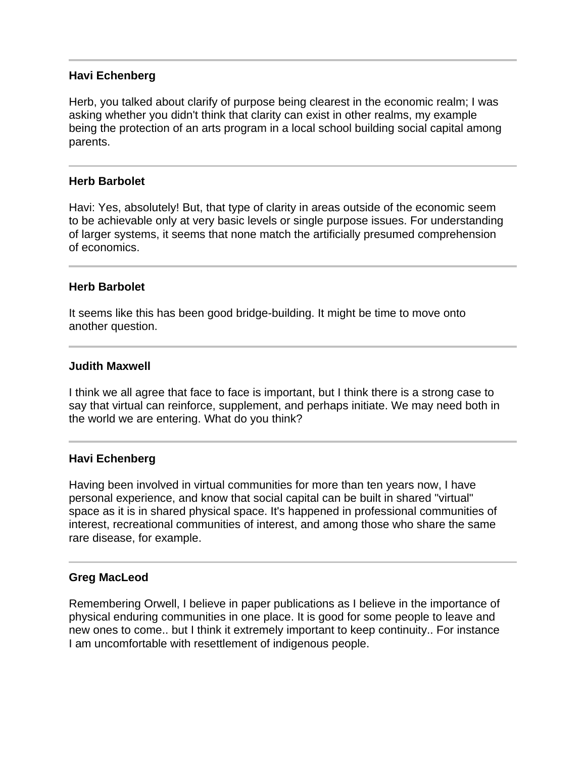# **Havi Echenberg**

Herb, you talked about clarify of purpose being clearest in the economic realm; I was asking whether you didn't think that clarity can exist in other realms, my example being the protection of an arts program in a local school building social capital among parents.

### **Herb Barbolet**

j

Havi: Yes, absolutely! But, that type of clarity in areas outside of the economic seem to be achievable only at very basic levels or single purpose issues. For understanding of larger systems, it seems that none match the artificially presumed comprehension of economics.

#### **Herb Barbolet**

It seems like this has been good bridge-building. It might be time to move onto another question.

#### **Judith Maxwell**

I think we all agree that face to face is important, but I think there is a strong case to say that virtual can reinforce, supplement, and perhaps initiate. We may need both in the world we are entering. What do you think?

#### **Havi Echenberg**

I

Having been involved in virtual communities for more than ten years now, I have personal experience, and know that social capital can be built in shared "virtual" space as it is in shared physical space. It's happened in professional communities of interest, recreational communities of interest, and among those who share the same rare disease, for example.

#### **Greg MacLeod**

Remembering Orwell, I believe in paper publications as I believe in the importance of physical enduring communities in one place. It is good for some people to leave and new ones to come.. but I think it extremely important to keep continuity.. For instance I am uncomfortable with resettlement of indigenous people.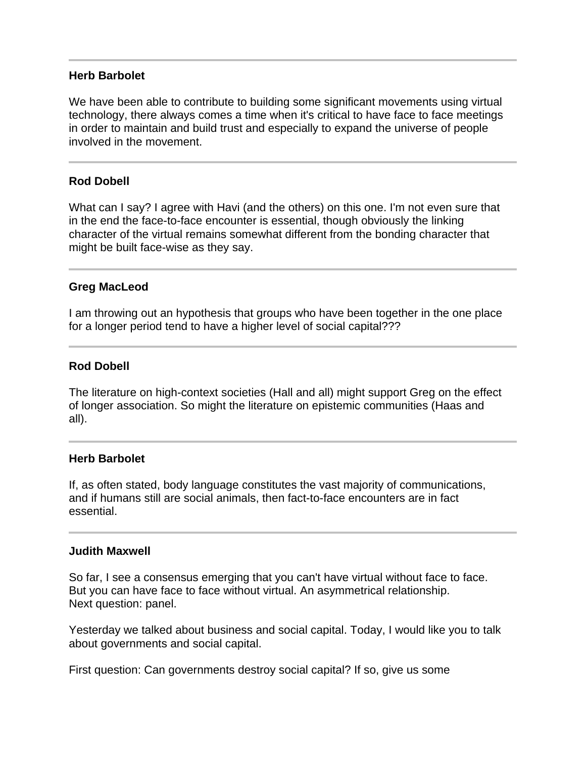#### **Herb Barbolet**

We have been able to contribute to building some significant movements using virtual technology, there always comes a time when it's critical to have face to face meetings in order to maintain and build trust and especially to expand the universe of people involved in the movement.

# **Rod Dobell**

What can I say? I agree with Havi (and the others) on this one. I'm not even sure that in the end the face-to-face encounter is essential, though obviously the linking character of the virtual remains somewhat different from the bonding character that might be built face-wise as they say.

#### **Greg MacLeod**

Ī

I am throwing out an hypothesis that groups who have been together in the one place for a longer period tend to have a higher level of social capital???

# **Rod Dobell**

The literature on high-context societies (Hall and all) might support Greg on the effect of longer association. So might the literature on epistemic communities (Haas and all).

#### **Herb Barbolet**

If, as often stated, body language constitutes the vast majority of communications, and if humans still are social animals, then fact-to-face encounters are in fact essential.

#### **Judith Maxwell**

So far, I see a consensus emerging that you can't have virtual without face to face. But you can have face to face without virtual. An asymmetrical relationship. Next question: panel.

Yesterday we talked about business and social capital. Today, I would like you to talk about governments and social capital.

First question: Can governments destroy social capital? If so, give us some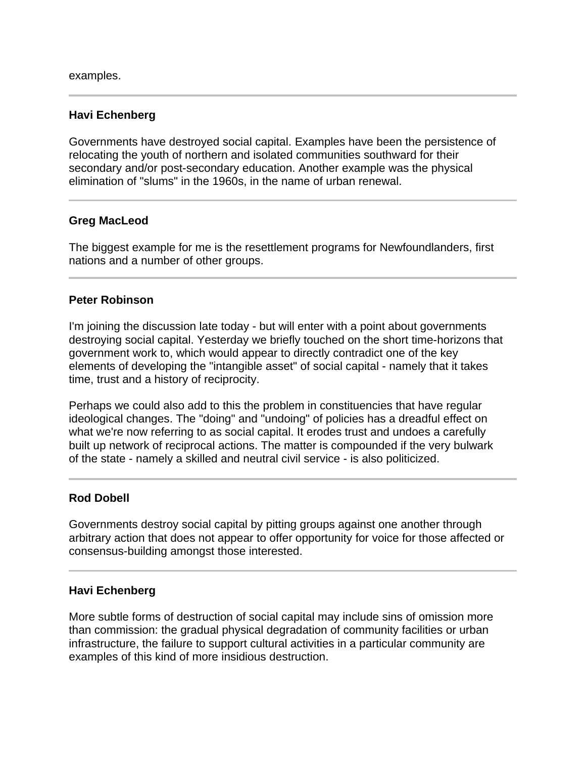examples.

# **Havi Echenberg**

Governments have destroyed social capital. Examples have been the persistence of relocating the youth of northern and isolated communities southward for their secondary and/or post-secondary education. Another example was the physical elimination of "slums" in the 1960s, in the name of urban renewal.

# **Greg MacLeod**

 $\overline{a}$ 

The biggest example for me is the resettlement programs for Newfoundlanders, first nations and a number of other groups.

# **Peter Robinson**

I'm joining the discussion late today - but will enter with a point about governments destroying social capital. Yesterday we briefly touched on the short time-horizons that government work to, which would appear to directly contradict one of the key elements of developing the "intangible asset" of social capital - namely that it takes time, trust and a history of reciprocity.

Perhaps we could also add to this the problem in constituencies that have regular ideological changes. The "doing" and "undoing" of policies has a dreadful effect on what we're now referring to as social capital. It erodes trust and undoes a carefully built up network of reciprocal actions. The matter is compounded if the very bulwark of the state - namely a skilled and neutral civil service - is also politicized.

#### **Rod Dobell**

Governments destroy social capital by pitting groups against one another through arbitrary action that does not appear to offer opportunity for voice for those affected or consensus-building amongst those interested.

#### **Havi Echenberg**

More subtle forms of destruction of social capital may include sins of omission more than commission: the gradual physical degradation of community facilities or urban infrastructure, the failure to support cultural activities in a particular community are examples of this kind of more insidious destruction.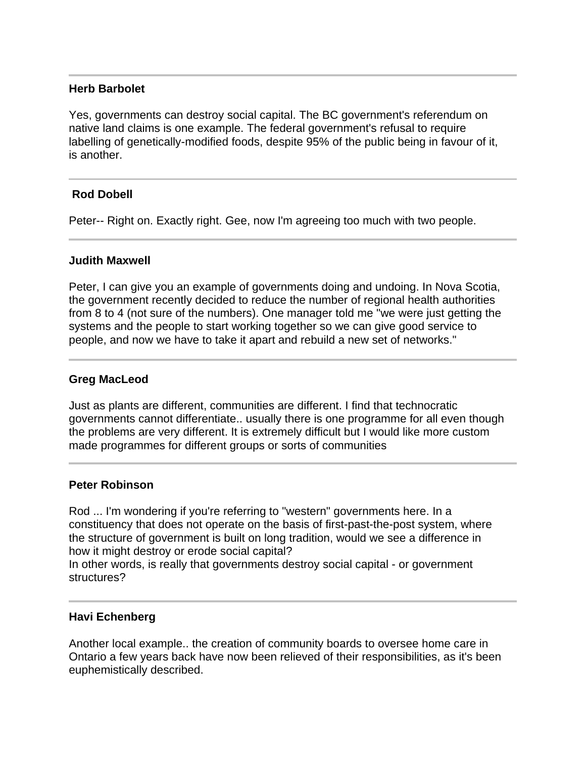# **Herb Barbolet**

l

Yes, governments can destroy social capital. The BC government's referendum on native land claims is one example. The federal government's refusal to require labelling of genetically-modified foods, despite 95% of the public being in favour of it, is another.

# **Rod Dobell**

Peter-- Right on. Exactly right. Gee, now I'm agreeing too much with two people.

#### **Judith Maxwell**

Peter, I can give you an example of governments doing and undoing. In Nova Scotia, the government recently decided to reduce the number of regional health authorities from 8 to 4 (not sure of the numbers). One manager told me "we were just getting the systems and the people to start working together so we can give good service to people, and now we have to take it apart and rebuild a new set of networks."

### **Greg MacLeod**

Just as plants are different, communities are different. I find that technocratic governments cannot differentiate.. usually there is one programme for all even though the problems are very different. It is extremely difficult but I would like more custom made programmes for different groups or sorts of communities

#### **Peter Robinson**

l

I

Rod ... I'm wondering if you're referring to "western" governments here. In a constituency that does not operate on the basis of first-past-the-post system, where the structure of government is built on long tradition, would we see a difference in how it might destroy or erode social capital?

In other words, is really that governments destroy social capital - or government structures?

#### **Havi Echenberg**

Another local example.. the creation of community boards to oversee home care in Ontario a few years back have now been relieved of their responsibilities, as it's been euphemistically described.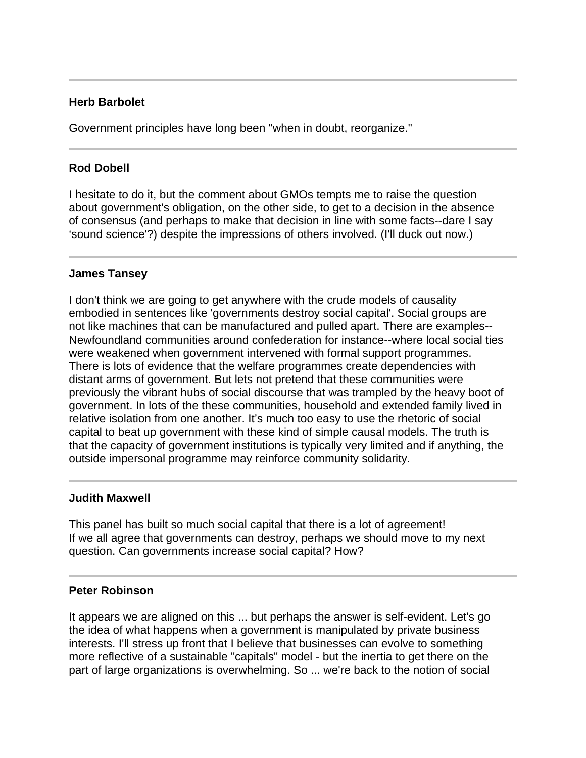# **Herb Barbolet**

Government principles have long been "when in doubt, reorganize."

# **Rod Dobell**

I hesitate to do it, but the comment about GMOs tempts me to raise the question about government's obligation, on the other side, to get to a decision in the absence of consensus (and perhaps to make that decision in line with some facts--dare I say 'sound science'?) despite the impressions of others involved. (I'll duck out now.)

#### **James Tansey**

I don't think we are going to get anywhere with the crude models of causality embodied in sentences like 'governments destroy social capital'. Social groups are not like machines that can be manufactured and pulled apart. There are examples-- Newfoundland communities around confederation for instance--where local social ties were weakened when government intervened with formal support programmes. There is lots of evidence that the welfare programmes create dependencies with distant arms of government. But lets not pretend that these communities were previously the vibrant hubs of social discourse that was trampled by the heavy boot of government. In lots of the these communities, household and extended family lived in relative isolation from one another. It's much too easy to use the rhetoric of social capital to beat up government with these kind of simple causal models. The truth is that the capacity of government institutions is typically very limited and if anything, the outside impersonal programme may reinforce community solidarity.

#### **Judith Maxwell**

Ī

This panel has built so much social capital that there is a lot of agreement! If we all agree that governments can destroy, perhaps we should move to my next question. Can governments increase social capital? How?

#### **Peter Robinson**

It appears we are aligned on this ... but perhaps the answer is self-evident. Let's go the idea of what happens when a government is manipulated by private business interests. I'll stress up front that I believe that businesses can evolve to something more reflective of a sustainable "capitals" model - but the inertia to get there on the part of large organizations is overwhelming. So ... we're back to the notion of social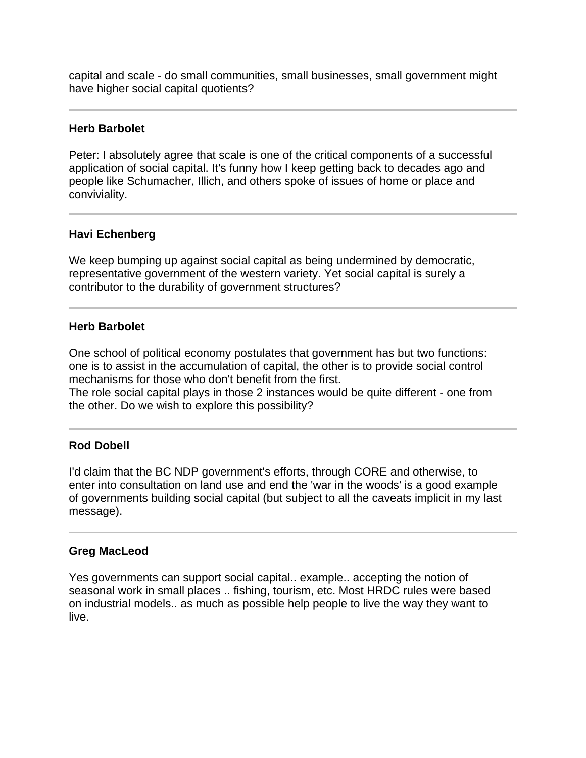capital and scale - do small communities, small businesses, small government might have higher social capital quotients?

### **Herb Barbolet**

Peter: I absolutely agree that scale is one of the critical components of a successful application of social capital. It's funny how I keep getting back to decades ago and people like Schumacher, Illich, and others spoke of issues of home or place and conviviality.

# **Havi Echenberg**

We keep bumping up against social capital as being undermined by democratic, representative government of the western variety. Yet social capital is surely a contributor to the durability of government structures?

# **Herb Barbolet**

Ī

One school of political economy postulates that government has but two functions: one is to assist in the accumulation of capital, the other is to provide social control mechanisms for those who don't benefit from the first. The role social capital plays in those 2 instances would be quite different - one from

# I

the other. Do we wish to explore this possibility?

# **Rod Dobell**

I'd claim that the BC NDP government's efforts, through CORE and otherwise, to enter into consultation on land use and end the 'war in the woods' is a good example of governments building social capital (but subject to all the caveats implicit in my last message).

#### **Greg MacLeod**

Yes governments can support social capital.. example.. accepting the notion of seasonal work in small places .. fishing, tourism, etc. Most HRDC rules were based on industrial models.. as much as possible help people to live the way they want to live.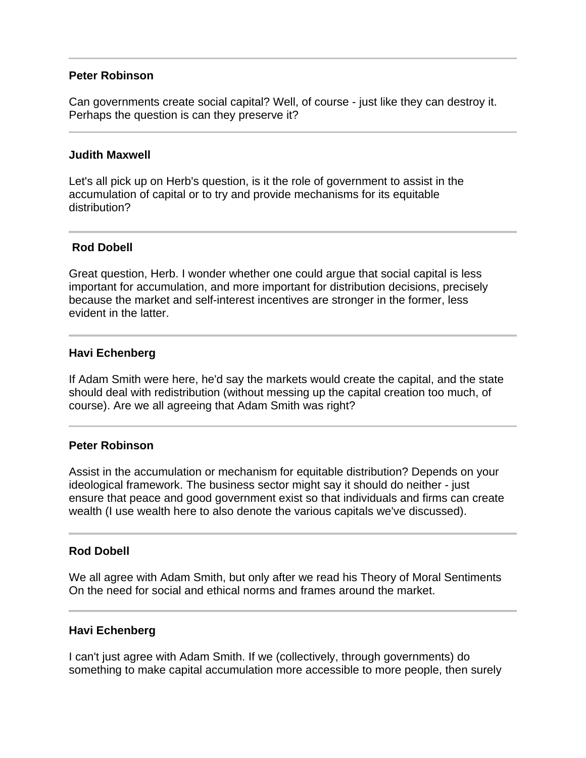#### **Peter Robinson**

Can governments create social capital? Well, of course - just like they can destroy it. Perhaps the question is can they preserve it?

#### **Judith Maxwell**

Let's all pick up on Herb's question, is it the role of government to assist in the accumulation of capital or to try and provide mechanisms for its equitable distribution?

# **Rod Dobell**

Great question, Herb. I wonder whether one could argue that social capital is less important for accumulation, and more important for distribution decisions, precisely because the market and self-interest incentives are stronger in the former, less evident in the latter.

#### **Havi Echenberg**

Ī

If Adam Smith were here, he'd say the markets would create the capital, and the state should deal with redistribution (without messing up the capital creation too much, of course). Are we all agreeing that Adam Smith was right?

#### **Peter Robinson**

Assist in the accumulation or mechanism for equitable distribution? Depends on your ideological framework. The business sector might say it should do neither - just ensure that peace and good government exist so that individuals and firms can create wealth (I use wealth here to also denote the various capitals we've discussed).

#### **Rod Dobell**

Ī

We all agree with Adam Smith, but only after we read his Theory of Moral Sentiments On the need for social and ethical norms and frames around the market.

#### **Havi Echenberg**

I can't just agree with Adam Smith. If we (collectively, through governments) do something to make capital accumulation more accessible to more people, then surely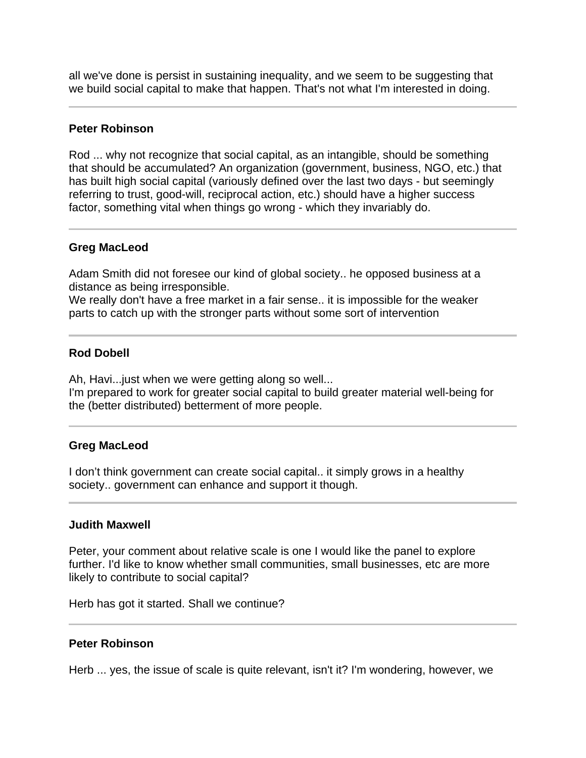all we've done is persist in sustaining inequality, and we seem to be suggesting that we build social capital to make that happen. That's not what I'm interested in doing.

#### **Peter Robinson**

Rod ... why not recognize that social capital, as an intangible, should be something that should be accumulated? An organization (government, business, NGO, etc.) that has built high social capital (variously defined over the last two days - but seemingly referring to trust, good-will, reciprocal action, etc.) should have a higher success factor, something vital when things go wrong - which they invariably do.

# **Greg MacLeod**

Ī

I

Adam Smith did not foresee our kind of global society.. he opposed business at a distance as being irresponsible.

We really don't have a free market in a fair sense.. it is impossible for the weaker parts to catch up with the stronger parts without some sort of intervention

# **Rod Dobell**

Ah, Havi...just when we were getting along so well... I'm prepared to work for greater social capital to build greater material well-being for the (better distributed) betterment of more people.

#### **Greg MacLeod**

I don't think government can create social capital.. it simply grows in a healthy society.. government can enhance and support it though.

#### **Judith Maxwell**

Peter, your comment about relative scale is one I would like the panel to explore further. I'd like to know whether small communities, small businesses, etc are more likely to contribute to social capital?

Herb has got it started. Shall we continue?

#### **Peter Robinson**

Herb ... yes, the issue of scale is quite relevant, isn't it? I'm wondering, however, we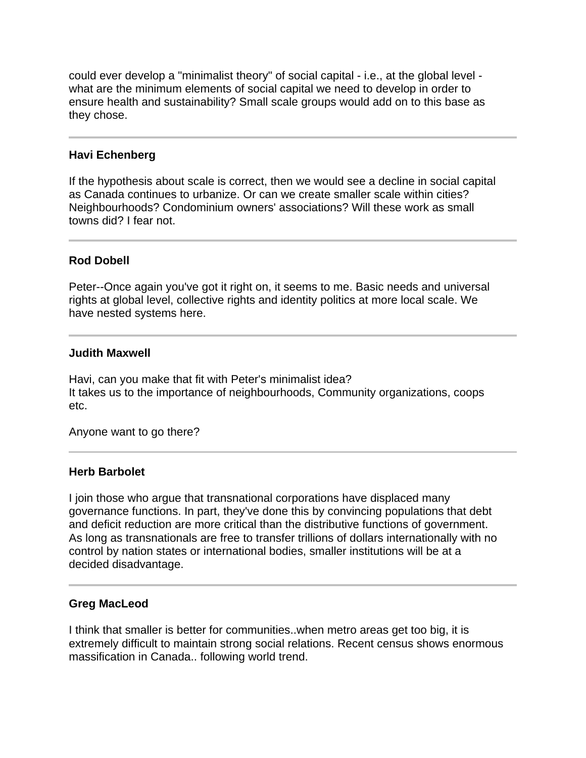could ever develop a "minimalist theory" of social capital - i.e., at the global level what are the minimum elements of social capital we need to develop in order to ensure health and sustainability? Small scale groups would add on to this base as they chose.

# **Havi Echenberg**

Ĩ

If the hypothesis about scale is correct, then we would see a decline in social capital as Canada continues to urbanize. Or can we create smaller scale within cities? Neighbourhoods? Condominium owners' associations? Will these work as small towns did? I fear not.

# **Rod Dobell**

Peter--Once again you've got it right on, it seems to me. Basic needs and universal rights at global level, collective rights and identity politics at more local scale. We have nested systems here.

#### **Judith Maxwell**

Havi, can you make that fit with Peter's minimalist idea? It takes us to the importance of neighbourhoods, Community organizations, coops etc.

Anyone want to go there?

#### **Herb Barbolet**

I join those who argue that transnational corporations have displaced many governance functions. In part, they've done this by convincing populations that debt and deficit reduction are more critical than the distributive functions of government. As long as transnationals are free to transfer trillions of dollars internationally with no control by nation states or international bodies, smaller institutions will be at a decided disadvantage.

#### **Greg MacLeod**

Ī

I think that smaller is better for communities..when metro areas get too big, it is extremely difficult to maintain strong social relations. Recent census shows enormous massification in Canada.. following world trend.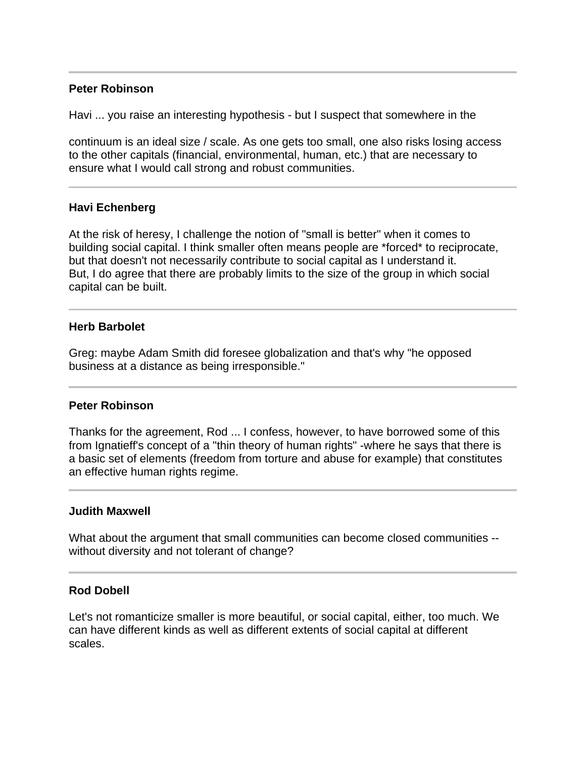# **Peter Robinson**

I

l

I

Ī

Havi ... you raise an interesting hypothesis - but I suspect that somewhere in the

continuum is an ideal size / scale. As one gets too small, one also risks losing access to the other capitals (financial, environmental, human, etc.) that are necessary to ensure what I would call strong and robust communities.

#### **Havi Echenberg**

At the risk of heresy, I challenge the notion of "small is better" when it comes to building social capital. I think smaller often means people are \*forced\* to reciprocate, but that doesn't not necessarily contribute to social capital as I understand it. But, I do agree that there are probably limits to the size of the group in which social capital can be built.

#### **Herb Barbolet**

Greg: maybe Adam Smith did foresee globalization and that's why "he opposed business at a distance as being irresponsible."

#### **Peter Robinson**

Thanks for the agreement, Rod ... I confess, however, to have borrowed some of this from Ignatieff's concept of a "thin theory of human rights" -where he says that there is a basic set of elements (freedom from torture and abuse for example) that constitutes an effective human rights regime.

#### **Judith Maxwell**

What about the argument that small communities can become closed communities - without diversity and not tolerant of change?

#### **Rod Dobell**

Let's not romanticize smaller is more beautiful, or social capital, either, too much. We can have different kinds as well as different extents of social capital at different scales.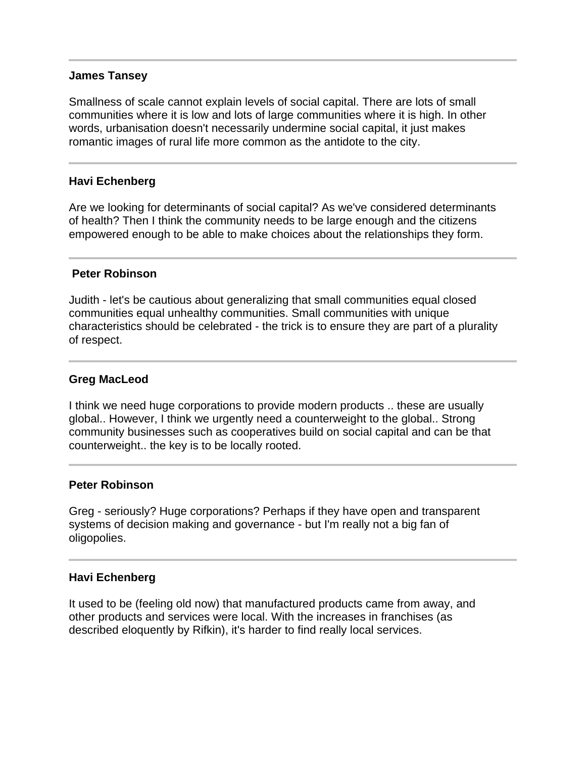#### **James Tansey**

Smallness of scale cannot explain levels of social capital. There are lots of small communities where it is low and lots of large communities where it is high. In other words, urbanisation doesn't necessarily undermine social capital, it just makes romantic images of rural life more common as the antidote to the city.

# **Havi Echenberg**

Ī

Ī

I

Are we looking for determinants of social capital? As we've considered determinants of health? Then I think the community needs to be large enough and the citizens empowered enough to be able to make choices about the relationships they form.

#### **Peter Robinson**

Judith - let's be cautious about generalizing that small communities equal closed communities equal unhealthy communities. Small communities with unique characteristics should be celebrated - the trick is to ensure they are part of a plurality of respect.

# **Greg MacLeod**

I think we need huge corporations to provide modern products .. these are usually global.. However, I think we urgently need a counterweight to the global.. Strong community businesses such as cooperatives build on social capital and can be that counterweight.. the key is to be locally rooted.

#### **Peter Robinson**

Greg - seriously? Huge corporations? Perhaps if they have open and transparent systems of decision making and governance - but I'm really not a big fan of oligopolies.

#### **Havi Echenberg**

It used to be (feeling old now) that manufactured products came from away, and other products and services were local. With the increases in franchises (as described eloquently by Rifkin), it's harder to find really local services.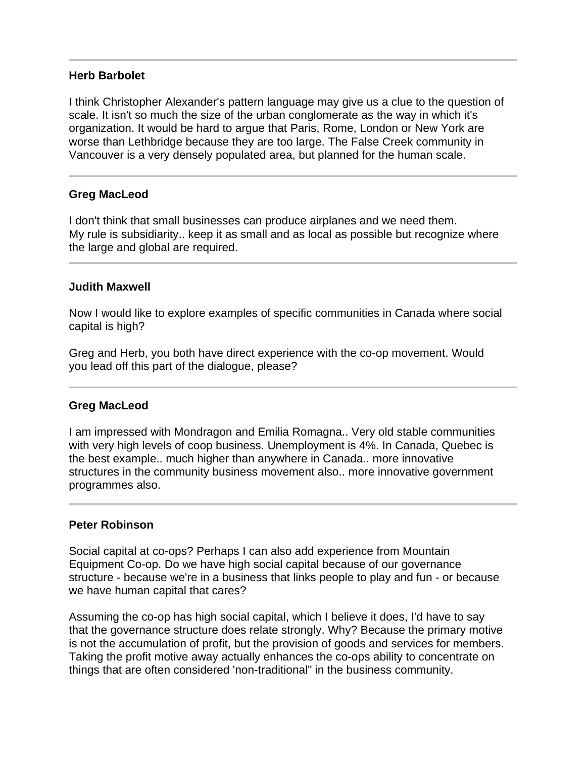#### **Herb Barbolet**

I think Christopher Alexander's pattern language may give us a clue to the question of scale. It isn't so much the size of the urban conglomerate as the way in which it's organization. It would be hard to argue that Paris, Rome, London or New York are worse than Lethbridge because they are too large. The False Creek community in Vancouver is a very densely populated area, but planned for the human scale.

# **Greg MacLeod**

Ī

l

I don't think that small businesses can produce airplanes and we need them. My rule is subsidiarity.. keep it as small and as local as possible but recognize where the large and global are required.

#### **Judith Maxwell**

Now I would like to explore examples of specific communities in Canada where social capital is high?

Greg and Herb, you both have direct experience with the co-op movement. Would you lead off this part of the dialogue, please?

# **Greg MacLeod**

I am impressed with Mondragon and Emilia Romagna.. Very old stable communities with very high levels of coop business. Unemployment is 4%. In Canada, Quebec is the best example.. much higher than anywhere in Canada.. more innovative structures in the community business movement also.. more innovative government programmes also.

#### **Peter Robinson**

l

Social capital at co-ops? Perhaps I can also add experience from Mountain Equipment Co-op. Do we have high social capital because of our governance structure - because we're in a business that links people to play and fun - or because we have human capital that cares?

Assuming the co-op has high social capital, which I believe it does, I'd have to say that the governance structure does relate strongly. Why? Because the primary motive is not the accumulation of profit, but the provision of goods and services for members. Taking the profit motive away actually enhances the co-ops ability to concentrate on things that are often considered 'non-traditional" in the business community.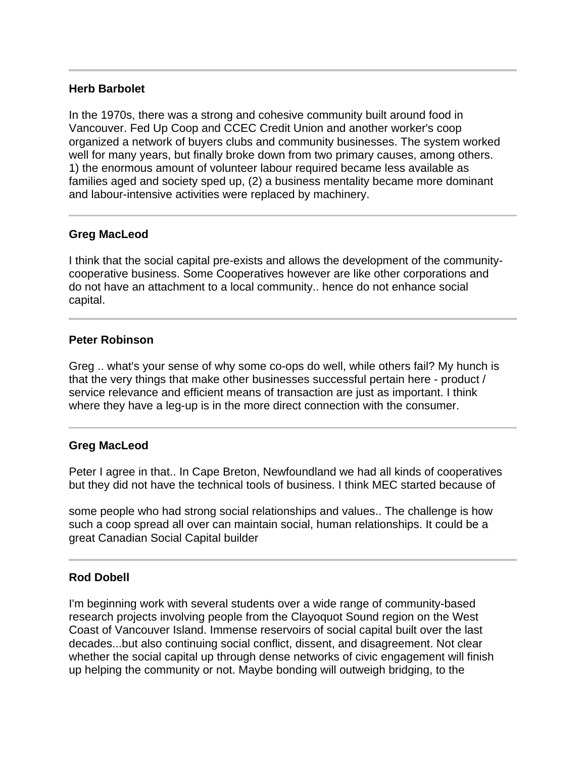# **Herb Barbolet**

In the 1970s, there was a strong and cohesive community built around food in Vancouver. Fed Up Coop and CCEC Credit Union and another worker's coop organized a network of buyers clubs and community businesses. The system worked well for many years, but finally broke down from two primary causes, among others. 1) the enormous amount of volunteer labour required became less available as families aged and society sped up, (2) a business mentality became more dominant and labour-intensive activities were replaced by machinery.

# **Greg MacLeod**

Ī

l

Ï

I think that the social capital pre-exists and allows the development of the communitycooperative business. Some Cooperatives however are like other corporations and do not have an attachment to a local community.. hence do not enhance social capital.

# **Peter Robinson**

Greg .. what's your sense of why some co-ops do well, while others fail? My hunch is that the very things that make other businesses successful pertain here - product / service relevance and efficient means of transaction are just as important. I think where they have a leg-up is in the more direct connection with the consumer.

#### **Greg MacLeod**

Peter I agree in that.. In Cape Breton, Newfoundland we had all kinds of cooperatives but they did not have the technical tools of business. I think MEC started because of

some people who had strong social relationships and values.. The challenge is how such a coop spread all over can maintain social, human relationships. It could be a great Canadian Social Capital builder

# **Rod Dobell**

I'm beginning work with several students over a wide range of community-based research projects involving people from the Clayoquot Sound region on the West Coast of Vancouver Island. Immense reservoirs of social capital built over the last decades...but also continuing social conflict, dissent, and disagreement. Not clear whether the social capital up through dense networks of civic engagement will finish up helping the community or not. Maybe bonding will outweigh bridging, to the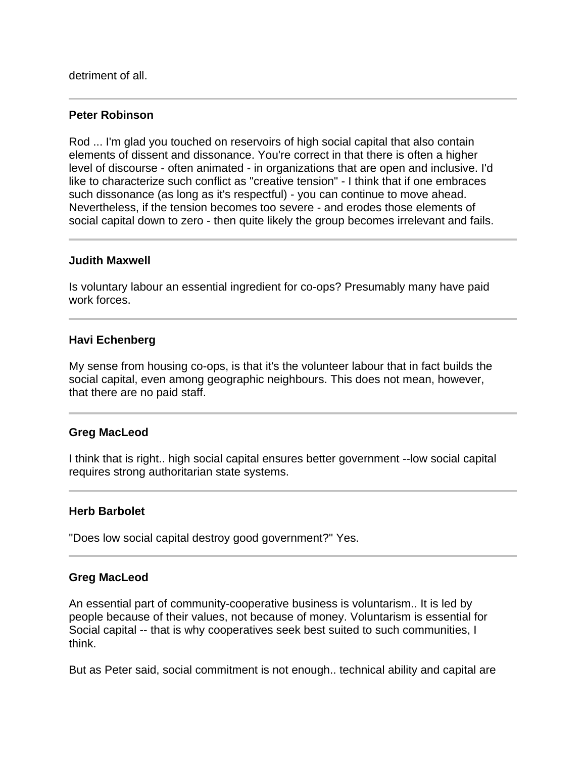detriment of all.

#### **Peter Robinson**

Rod ... I'm glad you touched on reservoirs of high social capital that also contain elements of dissent and dissonance. You're correct in that there is often a higher level of discourse - often animated - in organizations that are open and inclusive. I'd like to characterize such conflict as "creative tension" - I think that if one embraces such dissonance (as long as it's respectful) - you can continue to move ahead. Nevertheless, if the tension becomes too severe - and erodes those elements of social capital down to zero - then quite likely the group becomes irrelevant and fails.

#### **Judith Maxwell**

Is voluntary labour an essential ingredient for co-ops? Presumably many have paid work forces.

# **Havi Echenberg**

My sense from housing co-ops, is that it's the volunteer labour that in fact builds the social capital, even among geographic neighbours. This does not mean, however, that there are no paid staff.

#### **Greg MacLeod**

I think that is right.. high social capital ensures better government --low social capital requires strong authoritarian state systems.

#### **Herb Barbolet**

"Does low social capital destroy good government?" Yes.

#### **Greg MacLeod**

An essential part of community-cooperative business is voluntarism.. It is led by people because of their values, not because of money. Voluntarism is essential for Social capital -- that is why cooperatives seek best suited to such communities, I think.

But as Peter said, social commitment is not enough.. technical ability and capital are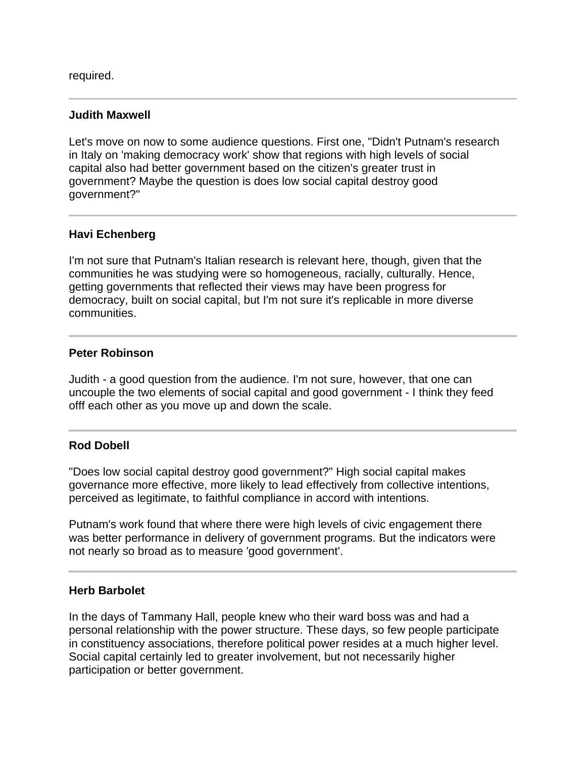required.

I

Ī

I

### **Judith Maxwell**

Let's move on now to some audience questions. First one, "Didn't Putnam's research in Italy on 'making democracy work' show that regions with high levels of social capital also had better government based on the citizen's greater trust in government? Maybe the question is does low social capital destroy good government?"

# **Havi Echenberg**

I'm not sure that Putnam's Italian research is relevant here, though, given that the communities he was studying were so homogeneous, racially, culturally. Hence, getting governments that reflected their views may have been progress for democracy, built on social capital, but I'm not sure it's replicable in more diverse communities.

#### **Peter Robinson**

Judith - a good question from the audience. I'm not sure, however, that one can uncouple the two elements of social capital and good government - I think they feed offf each other as you move up and down the scale.

#### j **Rod Dobell**

"Does low social capital destroy good government?" High social capital makes governance more effective, more likely to lead effectively from collective intentions, perceived as legitimate, to faithful compliance in accord with intentions.

Putnam's work found that where there were high levels of civic engagement there was better performance in delivery of government programs. But the indicators were not nearly so broad as to measure 'good government'.

#### **Herb Barbolet**

In the days of Tammany Hall, people knew who their ward boss was and had a personal relationship with the power structure. These days, so few people participate in constituency associations, therefore political power resides at a much higher level. Social capital certainly led to greater involvement, but not necessarily higher participation or better government.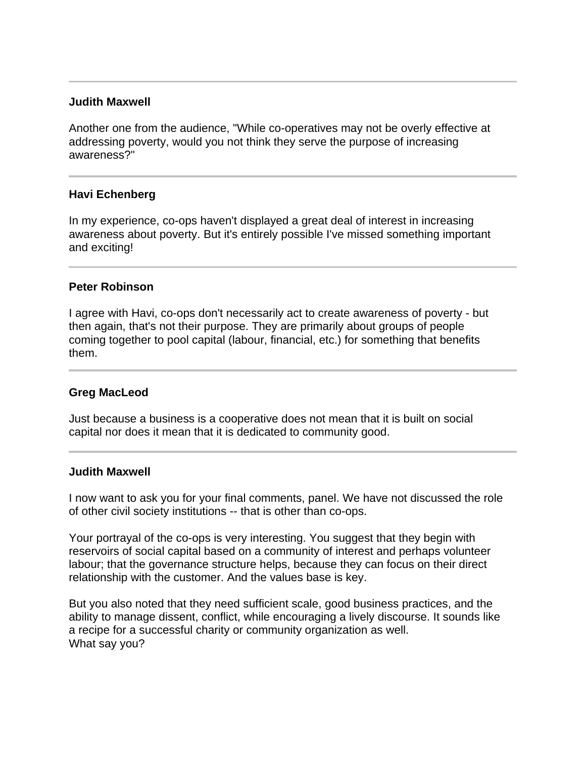### **Judith Maxwell**

Another one from the audience, "While co-operatives may not be overly effective at addressing poverty, would you not think they serve the purpose of increasing awareness?"

#### **Havi Echenberg**

In my experience, co-ops haven't displayed a great deal of interest in increasing awareness about poverty. But it's entirely possible I've missed something important and exciting!

#### **Peter Robinson**

I agree with Havi, co-ops don't necessarily act to create awareness of poverty - but then again, that's not their purpose. They are primarily about groups of people coming together to pool capital (labour, financial, etc.) for something that benefits them.

#### **Greg MacLeod**

Just because a business is a cooperative does not mean that it is built on social capital nor does it mean that it is dedicated to community good.

#### **Judith Maxwell**

I now want to ask you for your final comments, panel. We have not discussed the role of other civil society institutions -- that is other than co-ops.

Your portrayal of the co-ops is very interesting. You suggest that they begin with reservoirs of social capital based on a community of interest and perhaps volunteer labour; that the governance structure helps, because they can focus on their direct relationship with the customer. And the values base is key.

But you also noted that they need sufficient scale, good business practices, and the ability to manage dissent, conflict, while encouraging a lively discourse. It sounds like a recipe for a successful charity or community organization as well. What say you?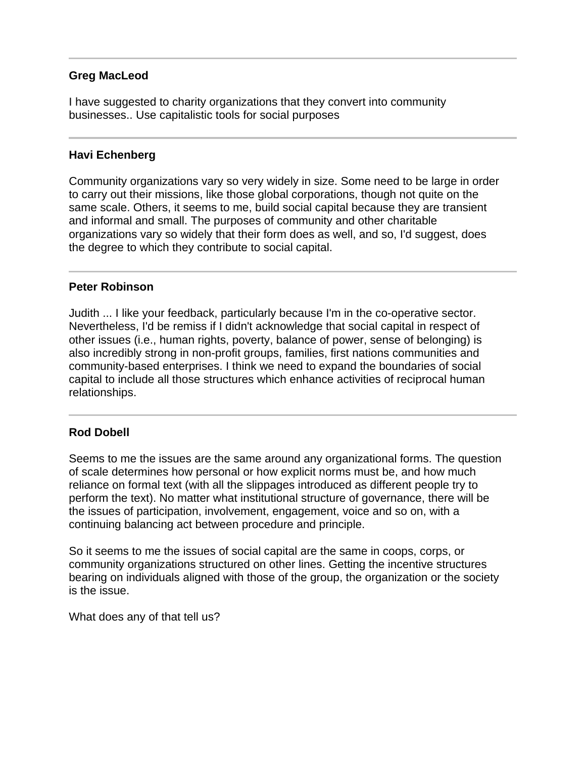# **Greg MacLeod**

I have suggested to charity organizations that they convert into community businesses.. Use capitalistic tools for social purposes

# **Havi Echenberg**

Ī

j

Ī

Community organizations vary so very widely in size. Some need to be large in order to carry out their missions, like those global corporations, though not quite on the same scale. Others, it seems to me, build social capital because they are transient and informal and small. The purposes of community and other charitable organizations vary so widely that their form does as well, and so, I'd suggest, does the degree to which they contribute to social capital.

# **Peter Robinson**

Judith ... I like your feedback, particularly because I'm in the co-operative sector. Nevertheless, I'd be remiss if I didn't acknowledge that social capital in respect of other issues (i.e., human rights, poverty, balance of power, sense of belonging) is also incredibly strong in non-profit groups, families, first nations communities and community-based enterprises. I think we need to expand the boundaries of social capital to include all those structures which enhance activities of reciprocal human relationships.

# **Rod Dobell**

Seems to me the issues are the same around any organizational forms. The question of scale determines how personal or how explicit norms must be, and how much reliance on formal text (with all the slippages introduced as different people try to perform the text). No matter what institutional structure of governance, there will be the issues of participation, involvement, engagement, voice and so on, with a continuing balancing act between procedure and principle.

So it seems to me the issues of social capital are the same in coops, corps, or community organizations structured on other lines. Getting the incentive structures bearing on individuals aligned with those of the group, the organization or the society is the issue.

What does any of that tell us?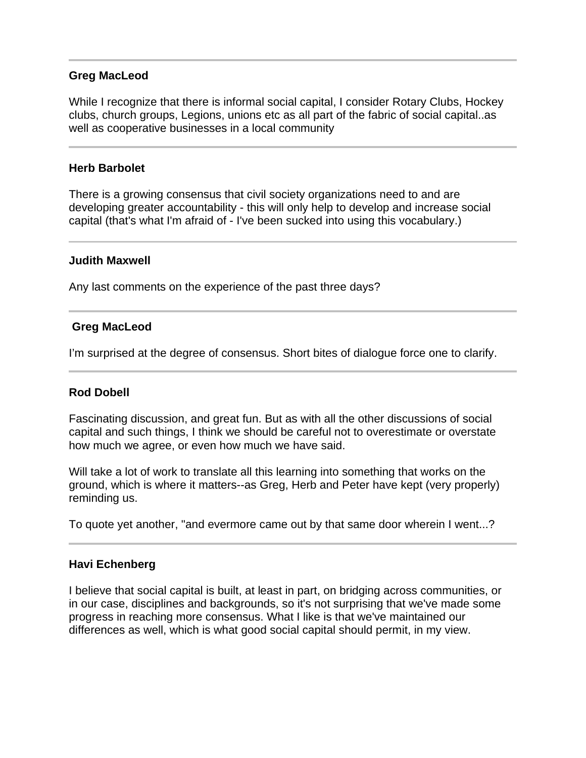# **Greg MacLeod**

While I recognize that there is informal social capital, I consider Rotary Clubs, Hockey clubs, church groups, Legions, unions etc as all part of the fabric of social capital..as well as cooperative businesses in a local community

### **Herb Barbolet**

There is a growing consensus that civil society organizations need to and are developing greater accountability - this will only help to develop and increase social capital (that's what I'm afraid of - I've been sucked into using this vocabulary.)

#### **Judith Maxwell**

Ī

Any last comments on the experience of the past three days?

# **Greg MacLeod**

I'm surprised at the degree of consensus. Short bites of dialogue force one to clarify.

# **Rod Dobell**

Fascinating discussion, and great fun. But as with all the other discussions of social capital and such things, I think we should be careful not to overestimate or overstate how much we agree, or even how much we have said.

Will take a lot of work to translate all this learning into something that works on the ground, which is where it matters--as Greg, Herb and Peter have kept (very properly) reminding us.

To quote yet another, "and evermore came out by that same door wherein I went...?

# **Havi Echenberg**

I believe that social capital is built, at least in part, on bridging across communities, or in our case, disciplines and backgrounds, so it's not surprising that we've made some progress in reaching more consensus. What I like is that we've maintained our differences as well, which is what good social capital should permit, in my view.